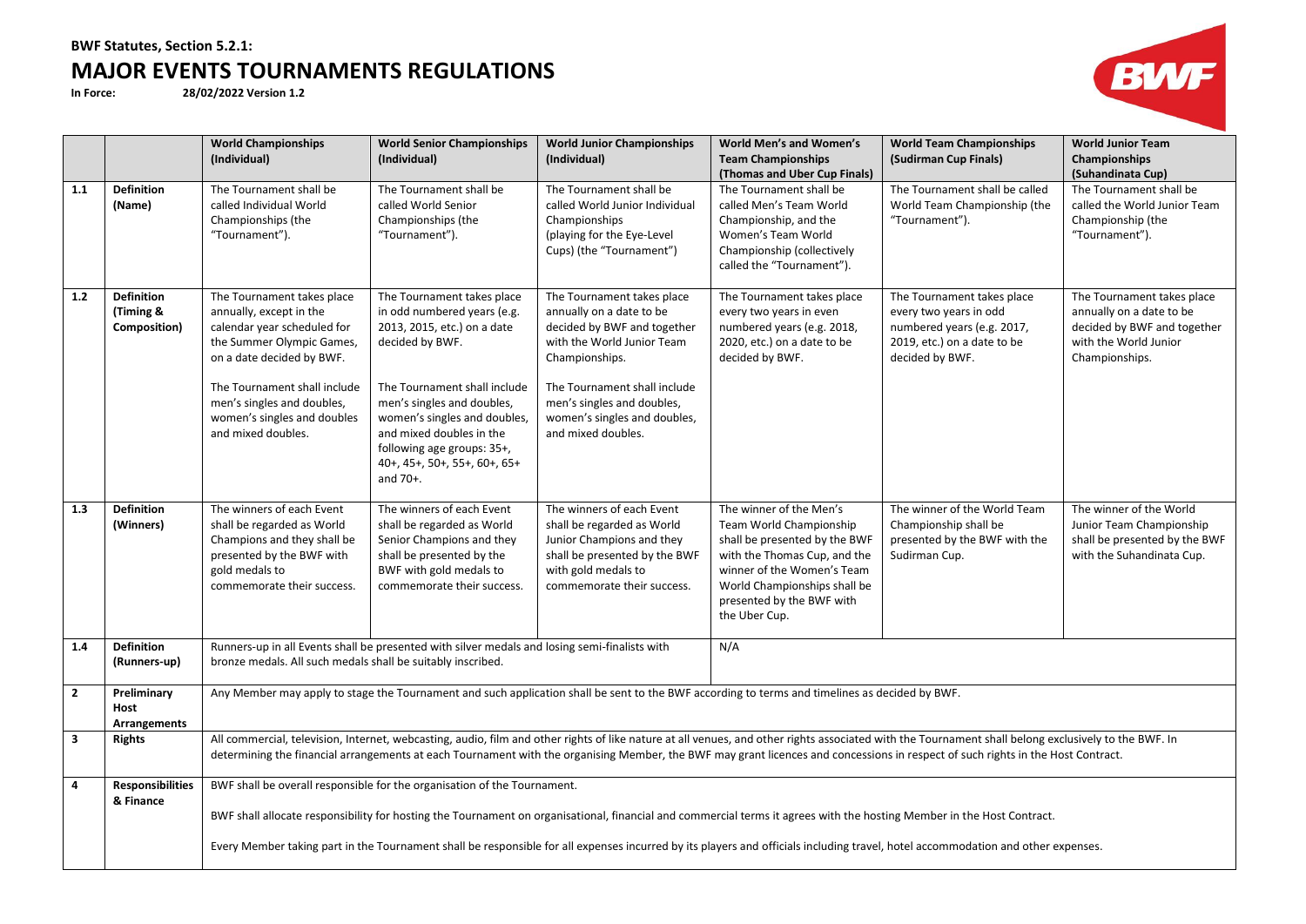# **BWF Statutes, Section 5.2.1: MAJOR EVENTS TOURNAMENTS REGULATIONS**<br>In Force: 28/02/2022 version 1.2

**In Force: 28/02/2022 Version 1.2**



|                         |                                                | <b>World Championships</b><br>(Individual)                                                                                                                                                                                                                        | <b>World Senior Championships</b><br>(Individual)                                                                                                                                                                                                                                                                                                                                                                                      | <b>World Junior Championships</b><br>(Individual)                                                                                                                                                                                                         | World Men's and Women's<br><b>Team Championships</b><br>(Thomas and Uber Cup Finals)                                                                                                                                            | <b>World Team Championships</b><br>(Sudirman Cup Finals)                                                                             | <b>World Junior Team</b><br>Championships<br>(Suhandinata Cup)                                                                   |  |  |
|-------------------------|------------------------------------------------|-------------------------------------------------------------------------------------------------------------------------------------------------------------------------------------------------------------------------------------------------------------------|----------------------------------------------------------------------------------------------------------------------------------------------------------------------------------------------------------------------------------------------------------------------------------------------------------------------------------------------------------------------------------------------------------------------------------------|-----------------------------------------------------------------------------------------------------------------------------------------------------------------------------------------------------------------------------------------------------------|---------------------------------------------------------------------------------------------------------------------------------------------------------------------------------------------------------------------------------|--------------------------------------------------------------------------------------------------------------------------------------|----------------------------------------------------------------------------------------------------------------------------------|--|--|
| 1.1                     | <b>Definition</b><br>(Name)                    | The Tournament shall be<br>called Individual World<br>Championships (the<br>"Tournament").                                                                                                                                                                        | The Tournament shall be<br>called World Senior<br>Championships (the<br>"Tournament").                                                                                                                                                                                                                                                                                                                                                 | The Tournament shall be<br>called World Junior Individual<br>Championships<br>(playing for the Eye-Level<br>Cups) (the "Tournament")                                                                                                                      | The Tournament shall be<br>called Men's Team World<br>Championship, and the<br>Women's Team World<br>Championship (collectively<br>called the "Tournament").                                                                    | The Tournament shall be called<br>World Team Championship (the<br>"Tournament").                                                     | The Tournament shall be<br>called the World Junior Team<br>Championship (the<br>"Tournament").                                   |  |  |
| $1.2$                   | <b>Definition</b><br>(Timing &<br>Composition) | The Tournament takes place<br>annually, except in the<br>calendar year scheduled for<br>the Summer Olympic Games,<br>on a date decided by BWF.<br>The Tournament shall include<br>men's singles and doubles,<br>women's singles and doubles<br>and mixed doubles. | The Tournament takes place<br>in odd numbered years (e.g.<br>2013, 2015, etc.) on a date<br>decided by BWF.<br>The Tournament shall include<br>men's singles and doubles,<br>women's singles and doubles,<br>and mixed doubles in the<br>following age groups: 35+,<br>40+, 45+, 50+, 55+, 60+, 65+<br>and 70+.                                                                                                                        | The Tournament takes place<br>annually on a date to be<br>decided by BWF and together<br>with the World Junior Team<br>Championships.<br>The Tournament shall include<br>men's singles and doubles,<br>women's singles and doubles,<br>and mixed doubles. | The Tournament takes place<br>every two years in even<br>numbered years (e.g. 2018,<br>2020, etc.) on a date to be<br>decided by BWF.                                                                                           | The Tournament takes place<br>every two years in odd<br>numbered years (e.g. 2017,<br>2019, etc.) on a date to be<br>decided by BWF. | The Tournament takes place<br>annually on a date to be<br>decided by BWF and together<br>with the World Junior<br>Championships. |  |  |
| 1.3                     | <b>Definition</b><br>(Winners)                 | The winners of each Event<br>shall be regarded as World<br>Champions and they shall be<br>presented by the BWF with<br>gold medals to<br>commemorate their success.                                                                                               | The winners of each Event<br>shall be regarded as World<br>Senior Champions and they<br>shall be presented by the<br>BWF with gold medals to<br>commemorate their success.                                                                                                                                                                                                                                                             | The winners of each Event<br>shall be regarded as World<br>Junior Champions and they<br>shall be presented by the BWF<br>with gold medals to<br>commemorate their success.                                                                                | The winner of the Men's<br>Team World Championship<br>shall be presented by the BWF<br>with the Thomas Cup, and the<br>winner of the Women's Team<br>World Championships shall be<br>presented by the BWF with<br>the Uber Cup. | The winner of the World Team<br>Championship shall be<br>presented by the BWF with the<br>Sudirman Cup.                              | The winner of the World<br>Junior Team Championship<br>shall be presented by the BWF<br>with the Suhandinata Cup.                |  |  |
| 1.4                     | <b>Definition</b><br>(Runners-up)              | bronze medals. All such medals shall be suitably inscribed.                                                                                                                                                                                                       | Runners-up in all Events shall be presented with silver medals and losing semi-finalists with                                                                                                                                                                                                                                                                                                                                          |                                                                                                                                                                                                                                                           | N/A                                                                                                                                                                                                                             |                                                                                                                                      |                                                                                                                                  |  |  |
| $\mathbf{2}$            | Preliminary<br>Host<br><b>Arrangements</b>     |                                                                                                                                                                                                                                                                   |                                                                                                                                                                                                                                                                                                                                                                                                                                        |                                                                                                                                                                                                                                                           | Any Member may apply to stage the Tournament and such application shall be sent to the BWF according to terms and timelines as decided by BWF.                                                                                  |                                                                                                                                      |                                                                                                                                  |  |  |
| $\overline{\mathbf{3}}$ | <b>Rights</b>                                  |                                                                                                                                                                                                                                                                   | All commercial, television, Internet, webcasting, audio, film and other rights of like nature at all venues, and other rights associated with the Tournament shall belong exclusively to the BWF. In<br>determining the financial arrangements at each Tournament with the organising Member, the BWF may grant licences and concessions in respect of such rights in the Host Contract.                                               |                                                                                                                                                                                                                                                           |                                                                                                                                                                                                                                 |                                                                                                                                      |                                                                                                                                  |  |  |
| $\overline{4}$          | <b>Responsibilities</b><br>& Finance           |                                                                                                                                                                                                                                                                   | BWF shall be overall responsible for the organisation of the Tournament.<br>BWF shall allocate responsibility for hosting the Tournament on organisational, financial and commercial terms it agrees with the hosting Member in the Host Contract.<br>Every Member taking part in the Tournament shall be responsible for all expenses incurred by its players and officials including travel, hotel accommodation and other expenses. |                                                                                                                                                                                                                                                           |                                                                                                                                                                                                                                 |                                                                                                                                      |                                                                                                                                  |  |  |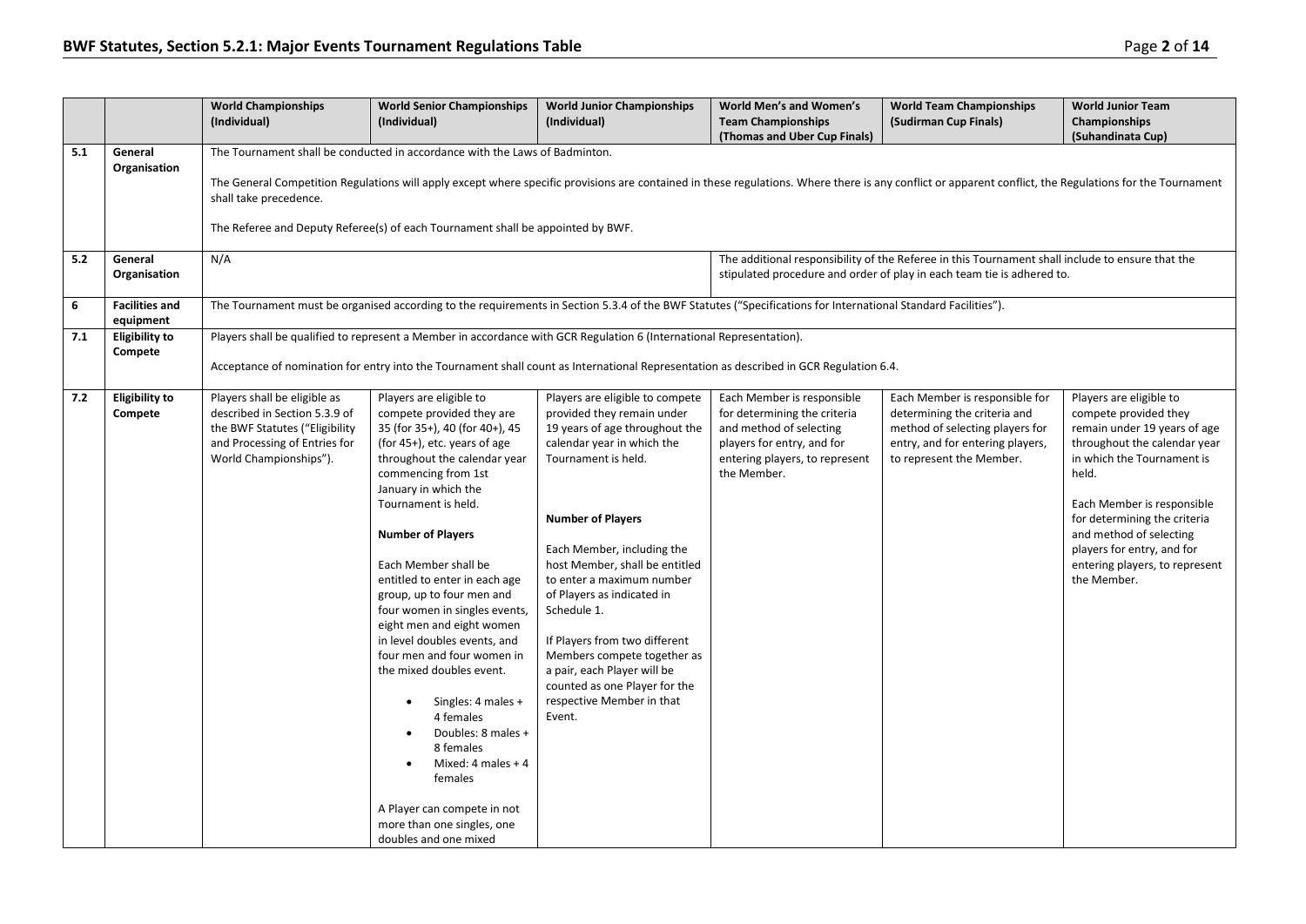|     |                                    | <b>World Championships</b><br>(Individual)                                                                                                                 | <b>World Senior Championships</b><br>(Individual)                                                                                                                                                                                                                                                                                                                                                                                                                                                                                                                                                                                                                                                       | <b>World Junior Championships</b><br>(Individual)                                                                                                                                                                                                                                                                                                                                                                                                                                                 | World Men's and Women's<br><b>Team Championships</b><br>(Thomas and Uber Cup Finals)                                                                                 | <b>World Team Championships</b><br>(Sudirman Cup Finals)                                                                                                                   | <b>World Junior Team</b><br>Championships<br>(Suhandinata Cup)                                                                                                                                                                                                                                                                  |  |  |  |
|-----|------------------------------------|------------------------------------------------------------------------------------------------------------------------------------------------------------|---------------------------------------------------------------------------------------------------------------------------------------------------------------------------------------------------------------------------------------------------------------------------------------------------------------------------------------------------------------------------------------------------------------------------------------------------------------------------------------------------------------------------------------------------------------------------------------------------------------------------------------------------------------------------------------------------------|---------------------------------------------------------------------------------------------------------------------------------------------------------------------------------------------------------------------------------------------------------------------------------------------------------------------------------------------------------------------------------------------------------------------------------------------------------------------------------------------------|----------------------------------------------------------------------------------------------------------------------------------------------------------------------|----------------------------------------------------------------------------------------------------------------------------------------------------------------------------|---------------------------------------------------------------------------------------------------------------------------------------------------------------------------------------------------------------------------------------------------------------------------------------------------------------------------------|--|--|--|
| 5.1 | General<br>Organisation            | shall take precedence.                                                                                                                                     | The Tournament shall be conducted in accordance with the Laws of Badminton.<br>The General Competition Regulations will apply except where specific provisions are contained in these regulations. Where there is any conflict or apparent conflict, the Regulations for the Tournament<br>The Referee and Deputy Referee(s) of each Tournament shall be appointed by BWF.                                                                                                                                                                                                                                                                                                                              |                                                                                                                                                                                                                                                                                                                                                                                                                                                                                                   |                                                                                                                                                                      |                                                                                                                                                                            |                                                                                                                                                                                                                                                                                                                                 |  |  |  |
| 5.2 | General<br>Organisation            | N/A                                                                                                                                                        |                                                                                                                                                                                                                                                                                                                                                                                                                                                                                                                                                                                                                                                                                                         |                                                                                                                                                                                                                                                                                                                                                                                                                                                                                                   |                                                                                                                                                                      | The additional responsibility of the Referee in this Tournament shall include to ensure that the<br>stipulated procedure and order of play in each team tie is adhered to. |                                                                                                                                                                                                                                                                                                                                 |  |  |  |
| 6   | <b>Facilities and</b><br>equipment |                                                                                                                                                            |                                                                                                                                                                                                                                                                                                                                                                                                                                                                                                                                                                                                                                                                                                         | The Tournament must be organised according to the requirements in Section 5.3.4 of the BWF Statutes ("Specifications for International Standard Facilities").                                                                                                                                                                                                                                                                                                                                     |                                                                                                                                                                      |                                                                                                                                                                            |                                                                                                                                                                                                                                                                                                                                 |  |  |  |
| 7.1 | <b>Eligibility to</b><br>Compete   |                                                                                                                                                            |                                                                                                                                                                                                                                                                                                                                                                                                                                                                                                                                                                                                                                                                                                         | Players shall be qualified to represent a Member in accordance with GCR Regulation 6 (International Representation).<br>Acceptance of nomination for entry into the Tournament shall count as International Representation as described in GCR Regulation 6.4.                                                                                                                                                                                                                                    |                                                                                                                                                                      |                                                                                                                                                                            |                                                                                                                                                                                                                                                                                                                                 |  |  |  |
| 7.2 | <b>Eligibility to</b><br>Compete   | Players shall be eligible as<br>described in Section 5.3.9 of<br>the BWF Statutes ("Eligibility<br>and Processing of Entries for<br>World Championships"). | Players are eligible to<br>compete provided they are<br>35 (for 35+), 40 (for 40+), 45<br>(for $45+$ ), etc. years of age<br>throughout the calendar year<br>commencing from 1st<br>January in which the<br>Tournament is held.<br><b>Number of Players</b><br>Each Member shall be<br>entitled to enter in each age<br>group, up to four men and<br>four women in singles events,<br>eight men and eight women<br>in level doubles events, and<br>four men and four women in<br>the mixed doubles event.<br>Singles: 4 males +<br>4 females<br>Doubles: 8 males +<br>8 females<br>Mixed: 4 males $+4$<br>females<br>A Player can compete in not<br>more than one singles, one<br>doubles and one mixed | Players are eligible to compete<br>provided they remain under<br>19 years of age throughout the<br>calendar year in which the<br>Tournament is held.<br><b>Number of Players</b><br>Each Member, including the<br>host Member, shall be entitled<br>to enter a maximum number<br>of Players as indicated in<br>Schedule 1.<br>If Players from two different<br>Members compete together as<br>a pair, each Player will be<br>counted as one Player for the<br>respective Member in that<br>Event. | Each Member is responsible<br>for determining the criteria<br>and method of selecting<br>players for entry, and for<br>entering players, to represent<br>the Member. | Each Member is responsible for<br>determining the criteria and<br>method of selecting players for<br>entry, and for entering players,<br>to represent the Member.          | Players are eligible to<br>compete provided they<br>remain under 19 years of age<br>throughout the calendar year<br>in which the Tournament is<br>held.<br>Each Member is responsible<br>for determining the criteria<br>and method of selecting<br>players for entry, and for<br>entering players, to represent<br>the Member. |  |  |  |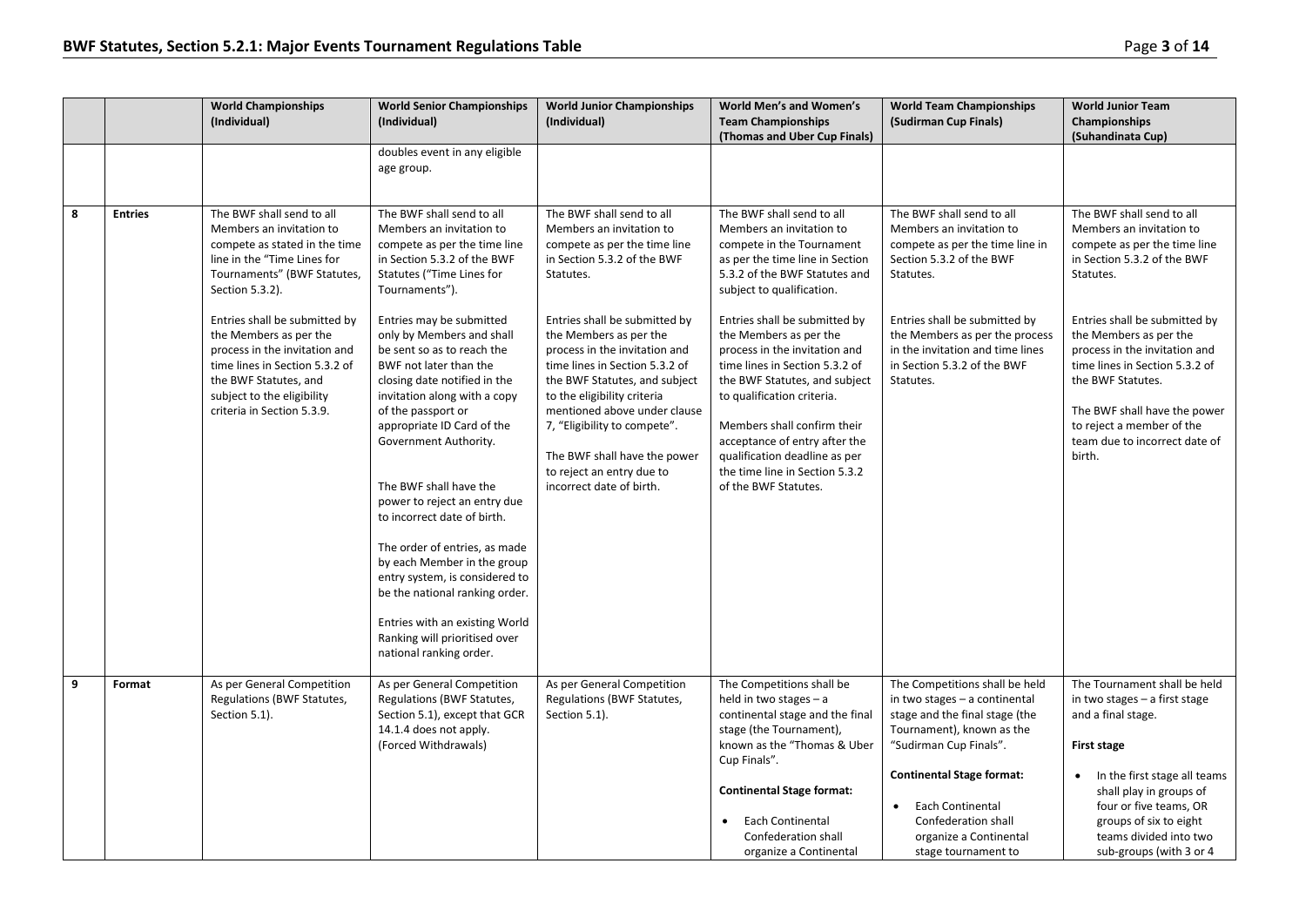|   |                | <b>World Championships</b><br>(Individual)                                                                                                                                                                      | <b>World Senior Championships</b><br>(Individual)                                                                                                                                                                                                                                                                                                                                                                                                                                                                                                                                     | <b>World Junior Championships</b><br>(Individual)                                                                                                                                                                                                                                                                                                   | <b>World Men's and Women's</b><br><b>Team Championships</b><br>(Thomas and Uber Cup Finals)                                                                                                                                                                                                                                                          | <b>World Team Championships</b><br>(Sudirman Cup Finals)                                                                                                                                                                                                                                              | <b>World Junior Team</b><br><b>Championships</b><br>(Suhandinata Cup)                                                                                                                                                                                                  |
|---|----------------|-----------------------------------------------------------------------------------------------------------------------------------------------------------------------------------------------------------------|---------------------------------------------------------------------------------------------------------------------------------------------------------------------------------------------------------------------------------------------------------------------------------------------------------------------------------------------------------------------------------------------------------------------------------------------------------------------------------------------------------------------------------------------------------------------------------------|-----------------------------------------------------------------------------------------------------------------------------------------------------------------------------------------------------------------------------------------------------------------------------------------------------------------------------------------------------|------------------------------------------------------------------------------------------------------------------------------------------------------------------------------------------------------------------------------------------------------------------------------------------------------------------------------------------------------|-------------------------------------------------------------------------------------------------------------------------------------------------------------------------------------------------------------------------------------------------------------------------------------------------------|------------------------------------------------------------------------------------------------------------------------------------------------------------------------------------------------------------------------------------------------------------------------|
|   |                |                                                                                                                                                                                                                 | doubles event in any eligible<br>age group.                                                                                                                                                                                                                                                                                                                                                                                                                                                                                                                                           |                                                                                                                                                                                                                                                                                                                                                     |                                                                                                                                                                                                                                                                                                                                                      |                                                                                                                                                                                                                                                                                                       |                                                                                                                                                                                                                                                                        |
| 8 | <b>Entries</b> | The BWF shall send to all<br>Members an invitation to<br>compete as stated in the time<br>line in the "Time Lines for<br>Tournaments" (BWF Statutes,<br>Section 5.3.2).                                         | The BWF shall send to all<br>Members an invitation to<br>compete as per the time line<br>in Section 5.3.2 of the BWF<br>Statutes ("Time Lines for<br>Tournaments").                                                                                                                                                                                                                                                                                                                                                                                                                   | The BWF shall send to all<br>Members an invitation to<br>compete as per the time line<br>in Section 5.3.2 of the BWF<br>Statutes.                                                                                                                                                                                                                   | The BWF shall send to all<br>Members an invitation to<br>compete in the Tournament<br>as per the time line in Section<br>5.3.2 of the BWF Statutes and<br>subject to qualification.                                                                                                                                                                  | The BWF shall send to all<br>Members an invitation to<br>compete as per the time line in<br>Section 5.3.2 of the BWF<br>Statutes.                                                                                                                                                                     | The BWF shall send to all<br>Members an invitation to<br>compete as per the time line<br>in Section 5.3.2 of the BWF<br>Statutes.                                                                                                                                      |
|   |                | Entries shall be submitted by<br>the Members as per the<br>process in the invitation and<br>time lines in Section 5.3.2 of<br>the BWF Statutes, and<br>subject to the eligibility<br>criteria in Section 5.3.9. | Entries may be submitted<br>only by Members and shall<br>be sent so as to reach the<br>BWF not later than the<br>closing date notified in the<br>invitation along with a copy<br>of the passport or<br>appropriate ID Card of the<br>Government Authority.<br>The BWF shall have the<br>power to reject an entry due<br>to incorrect date of birth.<br>The order of entries, as made<br>by each Member in the group<br>entry system, is considered to<br>be the national ranking order.<br>Entries with an existing World<br>Ranking will prioritised over<br>national ranking order. | Entries shall be submitted by<br>the Members as per the<br>process in the invitation and<br>time lines in Section 5.3.2 of<br>the BWF Statutes, and subject<br>to the eligibility criteria<br>mentioned above under clause<br>7, "Eligibility to compete".<br>The BWF shall have the power<br>to reject an entry due to<br>incorrect date of birth. | Entries shall be submitted by<br>the Members as per the<br>process in the invitation and<br>time lines in Section 5.3.2 of<br>the BWF Statutes, and subject<br>to qualification criteria.<br>Members shall confirm their<br>acceptance of entry after the<br>qualification deadline as per<br>the time line in Section 5.3.2<br>of the BWF Statutes. | Entries shall be submitted by<br>the Members as per the process<br>in the invitation and time lines<br>in Section 5.3.2 of the BWF<br>Statutes.                                                                                                                                                       | Entries shall be submitted by<br>the Members as per the<br>process in the invitation and<br>time lines in Section 5.3.2 of<br>the BWF Statutes.<br>The BWF shall have the power<br>to reject a member of the<br>team due to incorrect date of<br>birth.                |
| 9 | Format         | As per General Competition<br>Regulations (BWF Statutes,<br>Section 5.1).                                                                                                                                       | As per General Competition<br>Regulations (BWF Statutes,<br>Section 5.1), except that GCR<br>14.1.4 does not apply.<br>(Forced Withdrawals)                                                                                                                                                                                                                                                                                                                                                                                                                                           | As per General Competition<br>Regulations (BWF Statutes,<br>Section 5.1).                                                                                                                                                                                                                                                                           | The Competitions shall be<br>held in two stages $- a$<br>continental stage and the final<br>stage (the Tournament),<br>known as the "Thomas & Uber<br>Cup Finals".<br><b>Continental Stage format:</b><br>Each Continental<br>Confederation shall<br>organize a Continental                                                                          | The Competitions shall be held<br>in two stages - a continental<br>stage and the final stage (the<br>Tournament), known as the<br>"Sudirman Cup Finals".<br><b>Continental Stage format:</b><br>Each Continental<br>$\bullet$<br>Confederation shall<br>organize a Continental<br>stage tournament to | The Tournament shall be held<br>in two stages - a first stage<br>and a final stage.<br>First stage<br>In the first stage all teams<br>shall play in groups of<br>four or five teams, OR<br>groups of six to eight<br>teams divided into two<br>sub-groups (with 3 or 4 |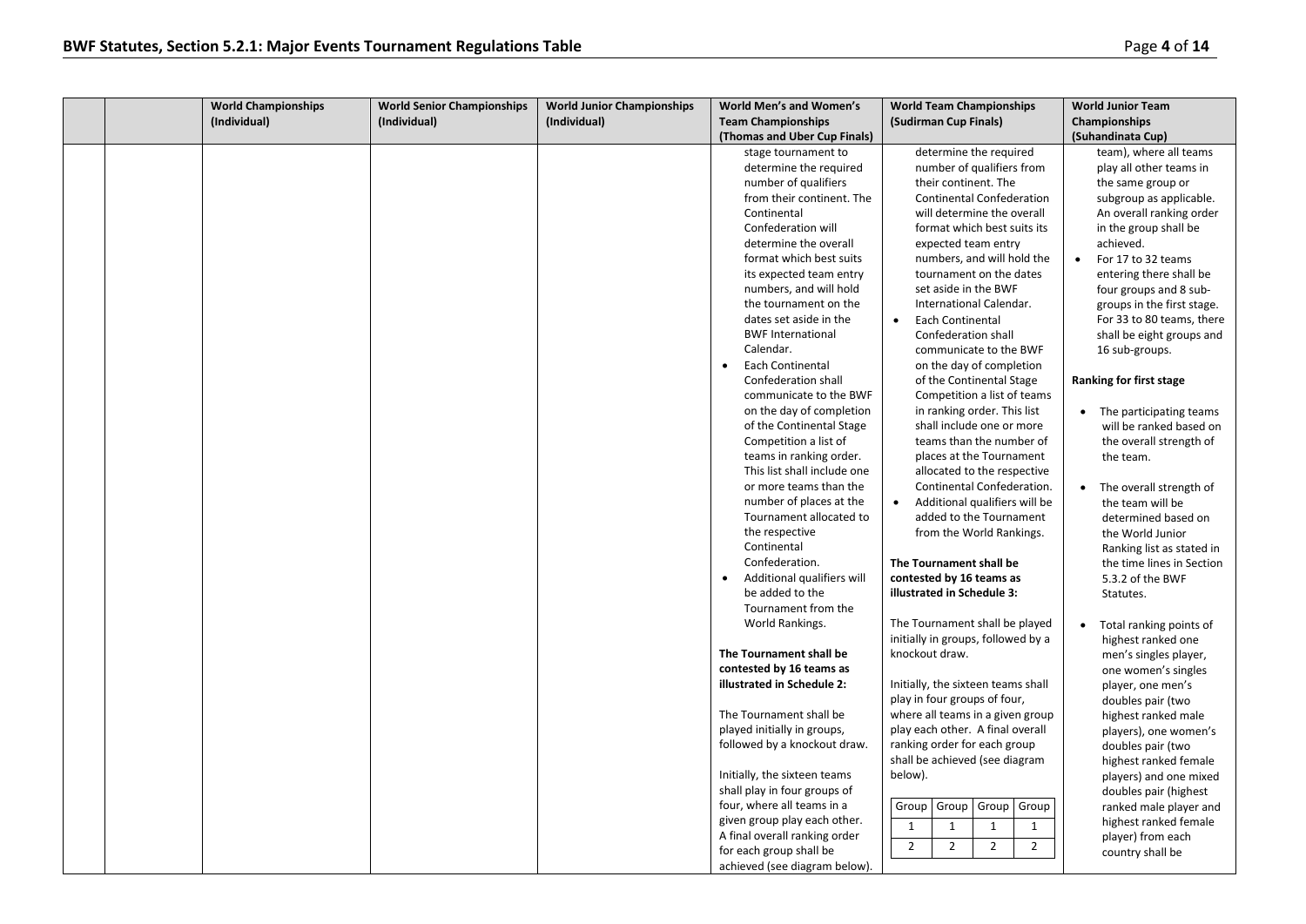|  | <b>World Championships</b> | <b>World Senior Championships</b> | <b>World Junior Championships</b> | World Men's and Women's                                | <b>World Team Championships</b>                                      | <b>World Junior Team</b>                      |
|--|----------------------------|-----------------------------------|-----------------------------------|--------------------------------------------------------|----------------------------------------------------------------------|-----------------------------------------------|
|  | (Individual)               | (Individual)                      | (Individual)                      | <b>Team Championships</b>                              | (Sudirman Cup Finals)                                                | Championships                                 |
|  |                            |                                   |                                   | (Thomas and Uber Cup Finals)                           |                                                                      | (Suhandinata Cup)                             |
|  |                            |                                   |                                   | stage tournament to                                    | determine the required                                               | team), where all teams                        |
|  |                            |                                   |                                   | determine the required                                 | number of qualifiers from                                            | play all other teams in                       |
|  |                            |                                   |                                   | number of qualifiers                                   | their continent. The                                                 | the same group or                             |
|  |                            |                                   |                                   | from their continent. The                              | <b>Continental Confederation</b>                                     | subgroup as applicable.                       |
|  |                            |                                   |                                   | Continental                                            | will determine the overall                                           | An overall ranking order                      |
|  |                            |                                   |                                   | Confederation will                                     | format which best suits its                                          | in the group shall be                         |
|  |                            |                                   |                                   | determine the overall                                  | expected team entry                                                  | achieved.                                     |
|  |                            |                                   |                                   | format which best suits                                | numbers, and will hold the                                           | For 17 to 32 teams                            |
|  |                            |                                   |                                   | its expected team entry                                | tournament on the dates                                              | entering there shall be                       |
|  |                            |                                   |                                   | numbers, and will hold                                 | set aside in the BWF                                                 | four groups and 8 sub-                        |
|  |                            |                                   |                                   | the tournament on the                                  | International Calendar.                                              | groups in the first stage.                    |
|  |                            |                                   |                                   | dates set aside in the                                 | <b>Each Continental</b><br>$\bullet$                                 | For 33 to 80 teams, there                     |
|  |                            |                                   |                                   | <b>BWF International</b>                               | Confederation shall                                                  | shall be eight groups and                     |
|  |                            |                                   |                                   | Calendar.                                              | communicate to the BWF                                               | 16 sub-groups.                                |
|  |                            |                                   |                                   | Each Continental<br>$\bullet$                          | on the day of completion                                             |                                               |
|  |                            |                                   |                                   | Confederation shall                                    | of the Continental Stage                                             | Ranking for first stage                       |
|  |                            |                                   |                                   | communicate to the BWF                                 | Competition a list of teams                                          |                                               |
|  |                            |                                   |                                   | on the day of completion                               | in ranking order. This list                                          | • The participating teams                     |
|  |                            |                                   |                                   | of the Continental Stage                               | shall include one or more                                            | will be ranked based on                       |
|  |                            |                                   |                                   | Competition a list of                                  | teams than the number of                                             | the overall strength of                       |
|  |                            |                                   |                                   | teams in ranking order.<br>This list shall include one | places at the Tournament                                             | the team.                                     |
|  |                            |                                   |                                   | or more teams than the                                 | allocated to the respective<br>Continental Confederation.            |                                               |
|  |                            |                                   |                                   | number of places at the                                | Additional qualifiers will be                                        | • The overall strength of<br>the team will be |
|  |                            |                                   |                                   | Tournament allocated to                                | $\bullet$<br>added to the Tournament                                 |                                               |
|  |                            |                                   |                                   | the respective                                         | from the World Rankings.                                             | determined based on<br>the World Junior       |
|  |                            |                                   |                                   | Continental                                            |                                                                      | Ranking list as stated in                     |
|  |                            |                                   |                                   | Confederation.                                         | The Tournament shall be                                              | the time lines in Section                     |
|  |                            |                                   |                                   | Additional qualifiers will<br>$\bullet$                | contested by 16 teams as                                             | 5.3.2 of the BWF                              |
|  |                            |                                   |                                   | be added to the                                        | illustrated in Schedule 3:                                           | Statutes.                                     |
|  |                            |                                   |                                   | Tournament from the                                    |                                                                      |                                               |
|  |                            |                                   |                                   | World Rankings.                                        | The Tournament shall be played                                       | Total ranking points of                       |
|  |                            |                                   |                                   |                                                        | initially in groups, followed by a                                   | highest ranked one                            |
|  |                            |                                   |                                   | The Tournament shall be                                | knockout draw.                                                       | men's singles player,                         |
|  |                            |                                   |                                   | contested by 16 teams as                               |                                                                      | one women's singles                           |
|  |                            |                                   |                                   | illustrated in Schedule 2:                             | Initially, the sixteen teams shall                                   | player, one men's                             |
|  |                            |                                   |                                   |                                                        | play in four groups of four,                                         | doubles pair (two                             |
|  |                            |                                   |                                   | The Tournament shall be                                | where all teams in a given group                                     | highest ranked male                           |
|  |                            |                                   |                                   | played initially in groups,                            | play each other. A final overall                                     | players), one women's                         |
|  |                            |                                   |                                   | followed by a knockout draw.                           | ranking order for each group                                         | doubles pair (two                             |
|  |                            |                                   |                                   |                                                        | shall be achieved (see diagram                                       | highest ranked female                         |
|  |                            |                                   |                                   | Initially, the sixteen teams                           | below).                                                              | players) and one mixed                        |
|  |                            |                                   |                                   | shall play in four groups of                           |                                                                      | doubles pair (highest                         |
|  |                            |                                   |                                   | four, where all teams in a                             | Group<br>Group<br>Group<br>Group                                     | ranked male player and                        |
|  |                            |                                   |                                   | given group play each other.                           | 1<br>$\mathbf{1}$<br>$\mathbf{1}$<br>$\mathbf{1}$                    | highest ranked female                         |
|  |                            |                                   |                                   | A final overall ranking order                          |                                                                      | player) from each                             |
|  |                            |                                   |                                   | for each group shall be                                | $\overline{2}$<br>$\overline{2}$<br>$\overline{2}$<br>$\overline{2}$ | country shall be                              |
|  |                            |                                   |                                   | achieved (see diagram below).                          |                                                                      |                                               |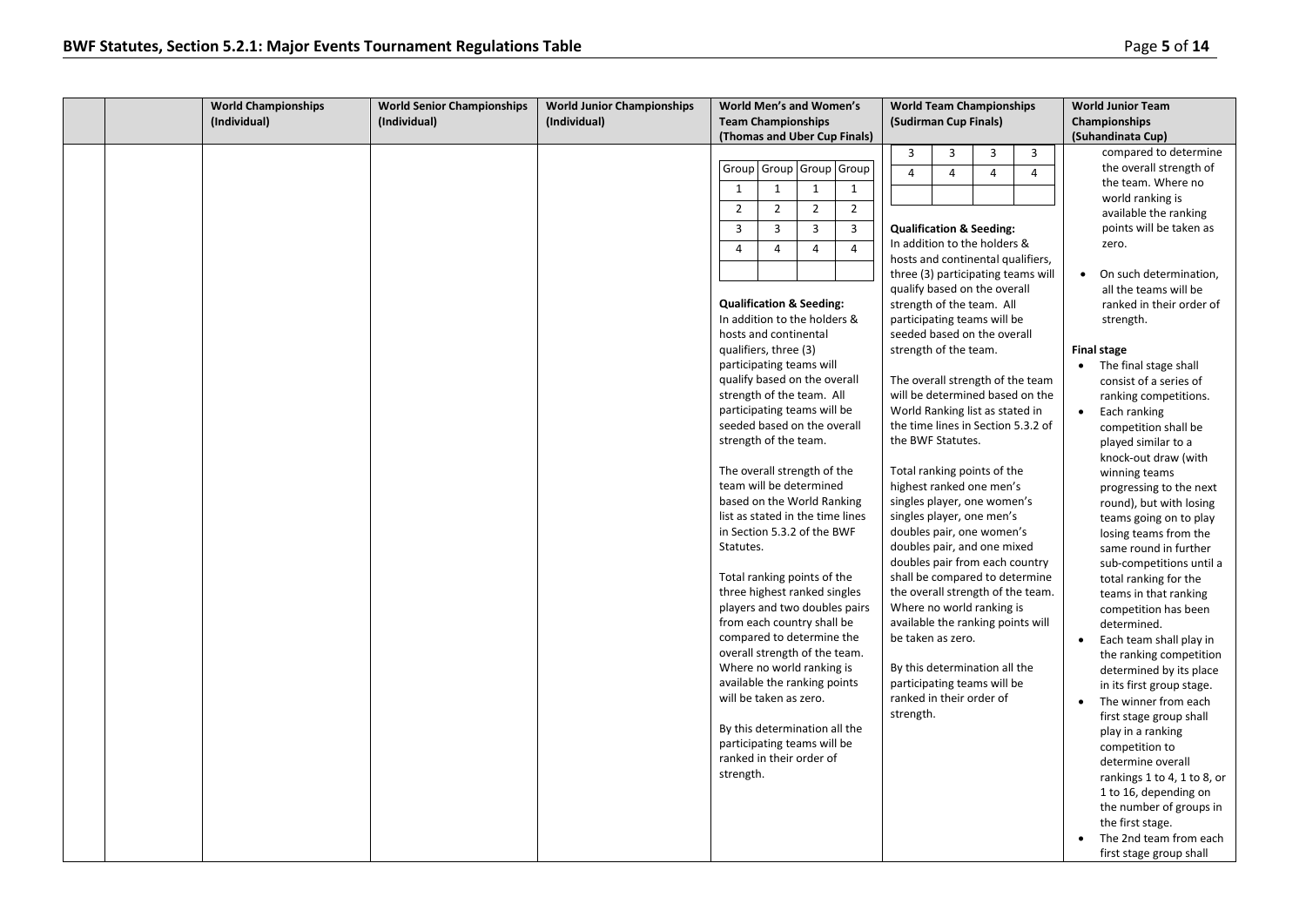|  | <b>World Championships</b> | <b>World Senior Championships</b> | <b>World Junior Championships</b> | <b>World Men's and Women's</b>                                                                                                                                                                                                                                                                                                                                                                                                                                                                                                                                                                                                                                                                                                                                                                                                                                                                                                                                                                                                                                                                                                                                                       | <b>World Team Championships</b>                                                                                                                                                                                                                                                                                                                                                                                                                                                                                                                                                                                                                                                                                                                                                                                                                                                                                                                                                                                                                                              | <b>World Junior Team</b>                                                                                                                                                                                                                                                                                                                                                                                                                                                                                                                                                                                                                                                                                                                                                                                                                                                                                                                                                                                                                          |
|--|----------------------------|-----------------------------------|-----------------------------------|--------------------------------------------------------------------------------------------------------------------------------------------------------------------------------------------------------------------------------------------------------------------------------------------------------------------------------------------------------------------------------------------------------------------------------------------------------------------------------------------------------------------------------------------------------------------------------------------------------------------------------------------------------------------------------------------------------------------------------------------------------------------------------------------------------------------------------------------------------------------------------------------------------------------------------------------------------------------------------------------------------------------------------------------------------------------------------------------------------------------------------------------------------------------------------------|------------------------------------------------------------------------------------------------------------------------------------------------------------------------------------------------------------------------------------------------------------------------------------------------------------------------------------------------------------------------------------------------------------------------------------------------------------------------------------------------------------------------------------------------------------------------------------------------------------------------------------------------------------------------------------------------------------------------------------------------------------------------------------------------------------------------------------------------------------------------------------------------------------------------------------------------------------------------------------------------------------------------------------------------------------------------------|---------------------------------------------------------------------------------------------------------------------------------------------------------------------------------------------------------------------------------------------------------------------------------------------------------------------------------------------------------------------------------------------------------------------------------------------------------------------------------------------------------------------------------------------------------------------------------------------------------------------------------------------------------------------------------------------------------------------------------------------------------------------------------------------------------------------------------------------------------------------------------------------------------------------------------------------------------------------------------------------------------------------------------------------------|
|  | (Individual)               | (Individual)                      | (Individual)                      | <b>Team Championships</b>                                                                                                                                                                                                                                                                                                                                                                                                                                                                                                                                                                                                                                                                                                                                                                                                                                                                                                                                                                                                                                                                                                                                                            | (Sudirman Cup Finals)                                                                                                                                                                                                                                                                                                                                                                                                                                                                                                                                                                                                                                                                                                                                                                                                                                                                                                                                                                                                                                                        | Championships                                                                                                                                                                                                                                                                                                                                                                                                                                                                                                                                                                                                                                                                                                                                                                                                                                                                                                                                                                                                                                     |
|  |                            |                                   |                                   | (Thomas and Uber Cup Finals)                                                                                                                                                                                                                                                                                                                                                                                                                                                                                                                                                                                                                                                                                                                                                                                                                                                                                                                                                                                                                                                                                                                                                         |                                                                                                                                                                                                                                                                                                                                                                                                                                                                                                                                                                                                                                                                                                                                                                                                                                                                                                                                                                                                                                                                              | (Suhandinata Cup)                                                                                                                                                                                                                                                                                                                                                                                                                                                                                                                                                                                                                                                                                                                                                                                                                                                                                                                                                                                                                                 |
|  |                            |                                   |                                   | Group Group Group<br>Group<br>$\mathbf{1}$<br>$\mathbf{1}$<br>1<br>$\mathbf{1}$<br>$\overline{2}$<br>$\overline{2}$<br>$\overline{2}$<br>$\overline{2}$<br>$\overline{3}$<br>$\overline{3}$<br>$\overline{3}$<br>$\overline{3}$<br>$\overline{4}$<br>$\overline{4}$<br>$\overline{4}$<br>$\overline{4}$<br><b>Qualification &amp; Seeding:</b><br>In addition to the holders &<br>hosts and continental<br>qualifiers, three (3)<br>participating teams will<br>qualify based on the overall<br>strength of the team. All<br>participating teams will be<br>seeded based on the overall<br>strength of the team.<br>The overall strength of the<br>team will be determined<br>based on the World Ranking<br>list as stated in the time lines<br>in Section 5.3.2 of the BWF<br>Statutes.<br>Total ranking points of the<br>three highest ranked singles<br>players and two doubles pairs<br>from each country shall be<br>compared to determine the<br>overall strength of the team.<br>Where no world ranking is<br>available the ranking points<br>will be taken as zero.<br>By this determination all the<br>participating teams will be<br>ranked in their order of<br>strength. | $\overline{3}$<br>3<br>$\overline{3}$<br>3<br>$\overline{4}$<br>$\overline{4}$<br>$\overline{4}$<br>4<br><b>Qualification &amp; Seeding:</b><br>In addition to the holders &<br>hosts and continental qualifiers,<br>three (3) participating teams will<br>qualify based on the overall<br>strength of the team. All<br>participating teams will be<br>seeded based on the overall<br>strength of the team.<br>The overall strength of the team<br>will be determined based on the<br>World Ranking list as stated in<br>the time lines in Section 5.3.2 of<br>the BWF Statutes.<br>Total ranking points of the<br>highest ranked one men's<br>singles player, one women's<br>singles player, one men's<br>doubles pair, one women's<br>doubles pair, and one mixed<br>doubles pair from each country<br>shall be compared to determine<br>the overall strength of the team.<br>Where no world ranking is<br>available the ranking points will<br>be taken as zero.<br>By this determination all the<br>participating teams will be<br>ranked in their order of<br>strength. | compared to determine<br>the overall strength of<br>the team. Where no<br>world ranking is<br>available the ranking<br>points will be taken as<br>zero.<br>On such determination,<br>all the teams will be<br>ranked in their order of<br>strength.<br><b>Final stage</b><br>The final stage shall<br>$\bullet$<br>consist of a series of<br>ranking competitions.<br>Each ranking<br>competition shall be<br>played similar to a<br>knock-out draw (with<br>winning teams<br>progressing to the next<br>round), but with losing<br>teams going on to play<br>losing teams from the<br>same round in further<br>sub-competitions until a<br>total ranking for the<br>teams in that ranking<br>competition has been<br>determined.<br>Each team shall play in<br>the ranking competition<br>determined by its place<br>in its first group stage.<br>The winner from each<br>first stage group shall<br>play in a ranking<br>competition to<br>determine overall<br>rankings 1 to 4, 1 to 8, or<br>1 to 16, depending on<br>the number of groups in |
|  |                            |                                   |                                   |                                                                                                                                                                                                                                                                                                                                                                                                                                                                                                                                                                                                                                                                                                                                                                                                                                                                                                                                                                                                                                                                                                                                                                                      |                                                                                                                                                                                                                                                                                                                                                                                                                                                                                                                                                                                                                                                                                                                                                                                                                                                                                                                                                                                                                                                                              | the first stage.<br>The 2nd team from each<br>first stage group shall                                                                                                                                                                                                                                                                                                                                                                                                                                                                                                                                                                                                                                                                                                                                                                                                                                                                                                                                                                             |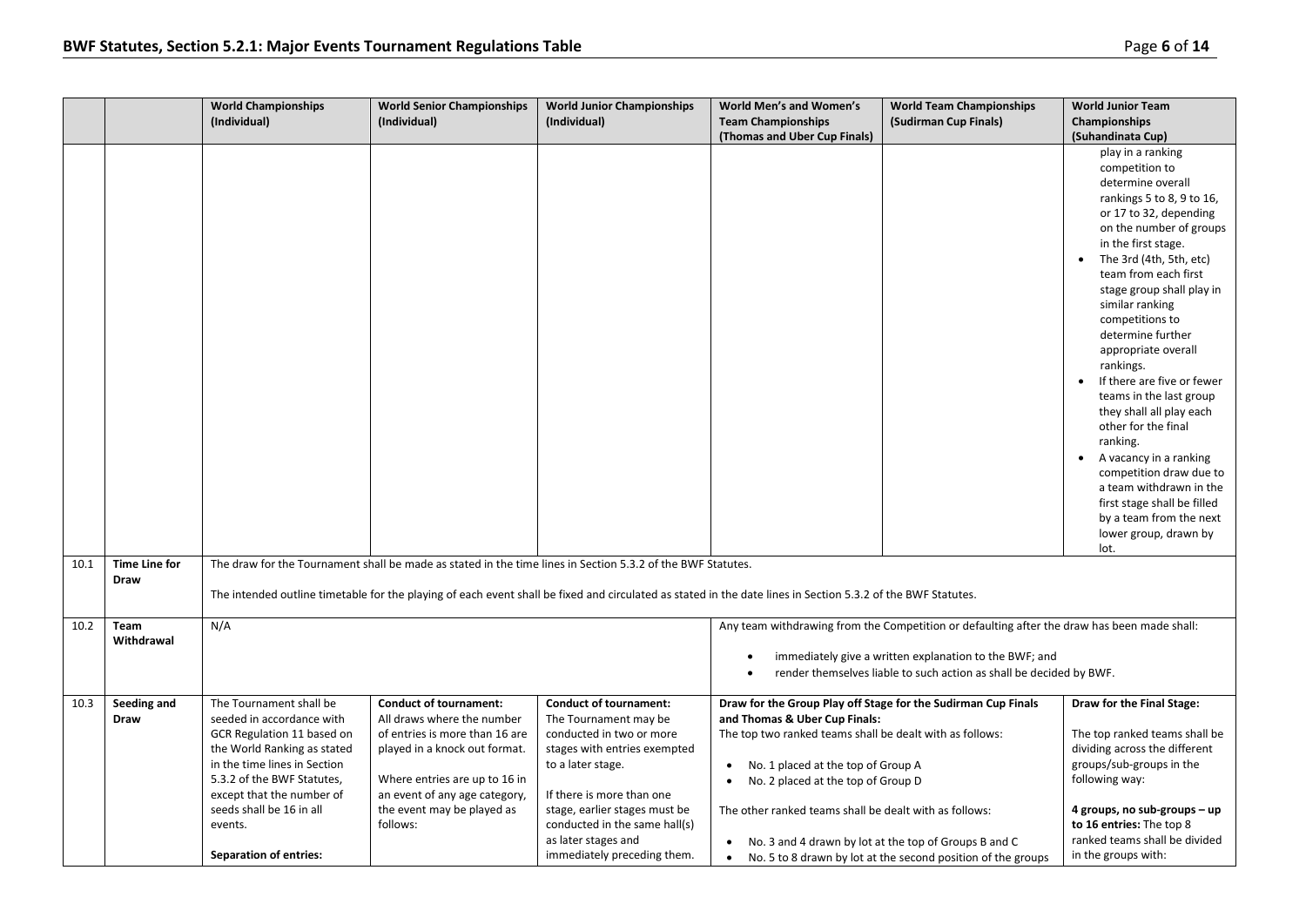|      |                              | <b>World Championships</b><br>(Individual)                                                                                                                                                                                                                                           | <b>World Senior Championships</b><br>(Individual)                                                                                                                                                                                          | <b>World Junior Championships</b><br>(Individual)                                                                                                                                                                                                                                            | <b>World Men's and Women's</b><br><b>Team Championships</b><br>(Thomas and Uber Cup Finals)                                                                                                                                                                                                                                                                                           | <b>World Team Championships</b><br>(Sudirman Cup Finals)                                                                                                                                                                     | <b>World Junior Team</b><br>Championships<br>(Suhandinata Cup)                                                                                                                                                                                                                                                                                                                                                                                                                                                                                                                                                                                      |
|------|------------------------------|--------------------------------------------------------------------------------------------------------------------------------------------------------------------------------------------------------------------------------------------------------------------------------------|--------------------------------------------------------------------------------------------------------------------------------------------------------------------------------------------------------------------------------------------|----------------------------------------------------------------------------------------------------------------------------------------------------------------------------------------------------------------------------------------------------------------------------------------------|---------------------------------------------------------------------------------------------------------------------------------------------------------------------------------------------------------------------------------------------------------------------------------------------------------------------------------------------------------------------------------------|------------------------------------------------------------------------------------------------------------------------------------------------------------------------------------------------------------------------------|-----------------------------------------------------------------------------------------------------------------------------------------------------------------------------------------------------------------------------------------------------------------------------------------------------------------------------------------------------------------------------------------------------------------------------------------------------------------------------------------------------------------------------------------------------------------------------------------------------------------------------------------------------|
|      |                              |                                                                                                                                                                                                                                                                                      |                                                                                                                                                                                                                                            |                                                                                                                                                                                                                                                                                              |                                                                                                                                                                                                                                                                                                                                                                                       |                                                                                                                                                                                                                              | play in a ranking<br>competition to<br>determine overall<br>rankings 5 to 8, 9 to 16,<br>or 17 to 32, depending<br>on the number of groups<br>in the first stage.<br>The 3rd (4th, 5th, etc)<br>team from each first<br>stage group shall play in<br>similar ranking<br>competitions to<br>determine further<br>appropriate overall<br>rankings.<br>If there are five or fewer<br>teams in the last group<br>they shall all play each<br>other for the final<br>ranking.<br>A vacancy in a ranking<br>competition draw due to<br>a team withdrawn in the<br>first stage shall be filled<br>by a team from the next<br>lower group, drawn by<br>lot. |
| 10.1 | <b>Time Line for</b><br>Draw |                                                                                                                                                                                                                                                                                      |                                                                                                                                                                                                                                            | The draw for the Tournament shall be made as stated in the time lines in Section 5.3.2 of the BWF Statutes.<br>The intended outline timetable for the playing of each event shall be fixed and circulated as stated in the date lines in Section 5.3.2 of the BWF Statutes.                  |                                                                                                                                                                                                                                                                                                                                                                                       |                                                                                                                                                                                                                              |                                                                                                                                                                                                                                                                                                                                                                                                                                                                                                                                                                                                                                                     |
| 10.2 | Team<br>Withdrawal           | N/A                                                                                                                                                                                                                                                                                  |                                                                                                                                                                                                                                            |                                                                                                                                                                                                                                                                                              |                                                                                                                                                                                                                                                                                                                                                                                       | Any team withdrawing from the Competition or defaulting after the draw has been made shall:<br>immediately give a written explanation to the BWF; and<br>render themselves liable to such action as shall be decided by BWF. |                                                                                                                                                                                                                                                                                                                                                                                                                                                                                                                                                                                                                                                     |
| 10.3 | Seeding and<br>Draw          | The Tournament shall be<br>seeded in accordance with<br>GCR Regulation 11 based on<br>the World Ranking as stated<br>in the time lines in Section<br>5.3.2 of the BWF Statutes,<br>except that the number of<br>seeds shall be 16 in all<br>events.<br><b>Separation of entries:</b> | <b>Conduct of tournament:</b><br>All draws where the number<br>of entries is more than 16 are<br>played in a knock out format.<br>Where entries are up to 16 in<br>an event of any age category,<br>the event may be played as<br>follows: | <b>Conduct of tournament:</b><br>The Tournament may be<br>conducted in two or more<br>stages with entries exempted<br>to a later stage.<br>If there is more than one<br>stage, earlier stages must be<br>conducted in the same hall(s)<br>as later stages and<br>immediately preceding them. | Draw for the Group Play off Stage for the Sudirman Cup Finals<br>and Thomas & Uber Cup Finals:<br>The top two ranked teams shall be dealt with as follows:<br>No. 1 placed at the top of Group A<br>No. 2 placed at the top of Group D<br>$\bullet$<br>The other ranked teams shall be dealt with as follows:<br>• No. 3 and 4 drawn by lot at the top of Groups B and C<br>$\bullet$ | No. 5 to 8 drawn by lot at the second position of the groups                                                                                                                                                                 | Draw for the Final Stage:<br>The top ranked teams shall be<br>dividing across the different<br>groups/sub-groups in the<br>following way:<br>4 groups, no sub-groups - up<br>to 16 entries: The top 8<br>ranked teams shall be divided<br>in the groups with:                                                                                                                                                                                                                                                                                                                                                                                       |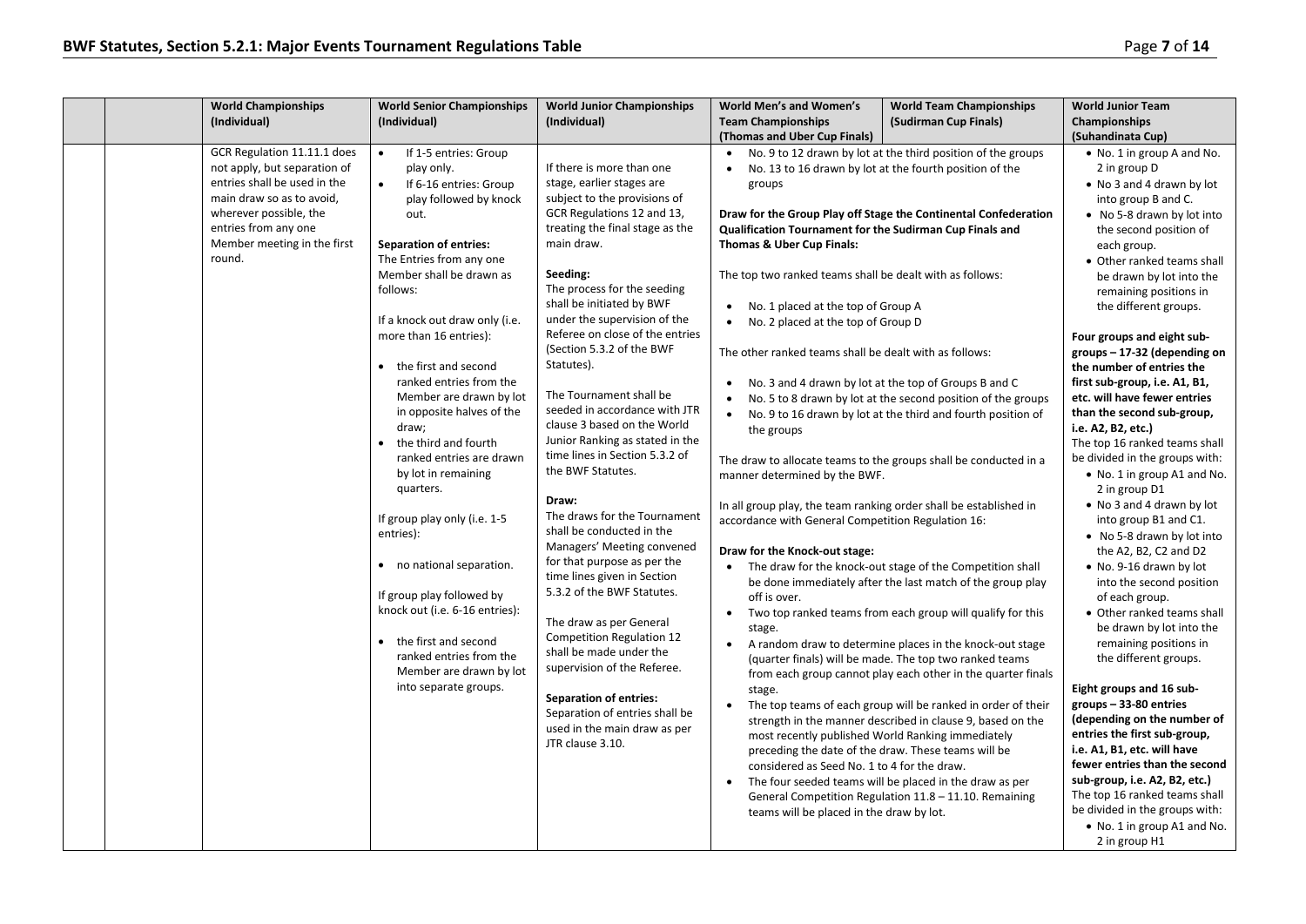| <b>World Championships</b><br>(Individual)                                                                                                         | <b>World Senior Championships</b><br>(Individual)                                                                         | <b>World Junior Championships</b><br>(Individual)                                                                          | <b>World Men's and Women's</b><br><b>Team Championships</b><br>(Thomas and Uber Cup Finals)                                                       | <b>World Team Championships</b><br>(Sudirman Cup Finals)                                                                                                                                   | <b>World Junior Team</b><br>Championships<br>(Suhandinata Cup)                                                               |
|----------------------------------------------------------------------------------------------------------------------------------------------------|---------------------------------------------------------------------------------------------------------------------------|----------------------------------------------------------------------------------------------------------------------------|---------------------------------------------------------------------------------------------------------------------------------------------------|--------------------------------------------------------------------------------------------------------------------------------------------------------------------------------------------|------------------------------------------------------------------------------------------------------------------------------|
| GCR Regulation 11.11.1 does<br>not apply, but separation of<br>entries shall be used in the<br>main draw so as to avoid,<br>wherever possible, the | If 1-5 entries: Group<br>$\bullet$<br>play only.<br>$\bullet$<br>If 6-16 entries: Group<br>play followed by knock<br>out. | If there is more than one<br>stage, earlier stages are<br>subject to the provisions of<br>GCR Regulations 12 and 13,       | groups                                                                                                                                            | No. 9 to 12 drawn by lot at the third position of the groups<br>No. 13 to 16 drawn by lot at the fourth position of the<br>Draw for the Group Play off Stage the Continental Confederation | • No. 1 in group A and No.<br>2 in group D<br>• No 3 and 4 drawn by lot<br>into group B and C.<br>• No 5-8 drawn by lot into |
| entries from any one<br>Member meeting in the first<br>round.                                                                                      | <b>Separation of entries:</b><br>The Entries from any one<br>Member shall be drawn as                                     | treating the final stage as the<br>main draw.<br>Seeding:                                                                  | Qualification Tournament for the Sudirman Cup Finals and<br>Thomas & Uber Cup Finals:<br>The top two ranked teams shall be dealt with as follows: | the second position of<br>each group.<br>• Other ranked teams shall<br>be drawn by lot into the                                                                                            |                                                                                                                              |
|                                                                                                                                                    | follows:<br>If a knock out draw only (i.e.                                                                                | The process for the seeding<br>shall be initiated by BWF<br>under the supervision of the                                   | No. 1 placed at the top of Group A<br>No. 2 placed at the top of Group D                                                                          |                                                                                                                                                                                            | remaining positions in<br>the different groups.                                                                              |
|                                                                                                                                                    | more than 16 entries):<br>the first and second<br>$\bullet$                                                               | Referee on close of the entries<br>(Section 5.3.2 of the BWF<br>Statutes).                                                 | The other ranked teams shall be dealt with as follows:                                                                                            |                                                                                                                                                                                            | Four groups and eight sub-<br>groups-17-32 (depending on<br>the number of entries the                                        |
|                                                                                                                                                    | ranked entries from the<br>Member are drawn by lot<br>in opposite halves of the<br>draw:<br>the third and fourth          | The Tournament shall be<br>seeded in accordance with JTR<br>clause 3 based on the World<br>Junior Ranking as stated in the | $\bullet$<br>the groups                                                                                                                           | No. 3 and 4 drawn by lot at the top of Groups B and C<br>No. 5 to 8 drawn by lot at the second position of the groups<br>No. 9 to 16 drawn by lot at the third and fourth position of      | first sub-group, i.e. A1, B1,<br>etc. will have fewer entries<br>than the second sub-group,<br>i.e. A2, B2, etc.)            |
|                                                                                                                                                    | $\bullet$<br>ranked entries are drawn<br>by lot in remaining<br>quarters.                                                 | time lines in Section 5.3.2 of<br>the BWF Statutes.<br>Draw:                                                               | The draw to allocate teams to the groups shall be conducted in a<br>manner determined by the BWF.                                                 |                                                                                                                                                                                            | The top 16 ranked teams shall<br>be divided in the groups with:<br>• No. 1 in group A1 and No.<br>2 in group D1              |
|                                                                                                                                                    | If group play only (i.e. 1-5<br>entries):                                                                                 | The draws for the Tournament<br>shall be conducted in the<br>Managers' Meeting convened                                    | In all group play, the team ranking order shall be established in<br>accordance with General Competition Regulation 16:                           |                                                                                                                                                                                            | • No 3 and 4 drawn by lot<br>into group B1 and C1.<br>• No 5-8 drawn by lot into                                             |
|                                                                                                                                                    | no national separation.<br>$\bullet$                                                                                      | for that purpose as per the<br>time lines given in Section                                                                 | Draw for the Knock-out stage:                                                                                                                     | The draw for the knock-out stage of the Competition shall<br>be done immediately after the last match of the group play                                                                    | the A2, B2, C2 and D2<br>• No. 9-16 drawn by lot<br>into the second position                                                 |

- If group play followed by knock out (i.e. 6-16 entries):
- the first and second ranked entries from the Member are drawn by lot into separate groups.

### **Separation of entries:** Separation of entries shall be used in the main draw as per JTR clause 3.10.

5.3.2 of the BWF Statutes. The draw as per General Competition Regulation 12 shall be made under the supervision of the Referee.

- be done immediately after the last match of the group play off is over. • Two top ranked teams from each group will qualify for this
- stage. • A random draw to determine places in the knock-out stage (quarter finals) will be made. The top two ranked teams from each group cannot play each other in the quarter finals
- stage. • The top teams of each group will be ranked in order of their strength in the manner described in clause 9, based on the most recently published World Ranking immediately preceding the date of the draw. These teams will be considered as Seed No. 1 to 4 for the draw.
- The four seeded teams will be placed in the draw as per General Competition Regulation 11.8 – 11.10. Remaining teams will be placed in the draw by lot.

### the different groups. **Eight groups and 16 subgroups – 33-80 entries (depending on the number of entries the first sub-group, i.e. A1, B1, etc. will have fewer entries than the second sub-group, i.e. A2, B2, etc.)** The top 16 ranked teams shall be divided in the groups with: • No. 1 in group A1 and No.

2 in group H1

of each group. • Other ranked teams shall be drawn by lot into the remaining positions in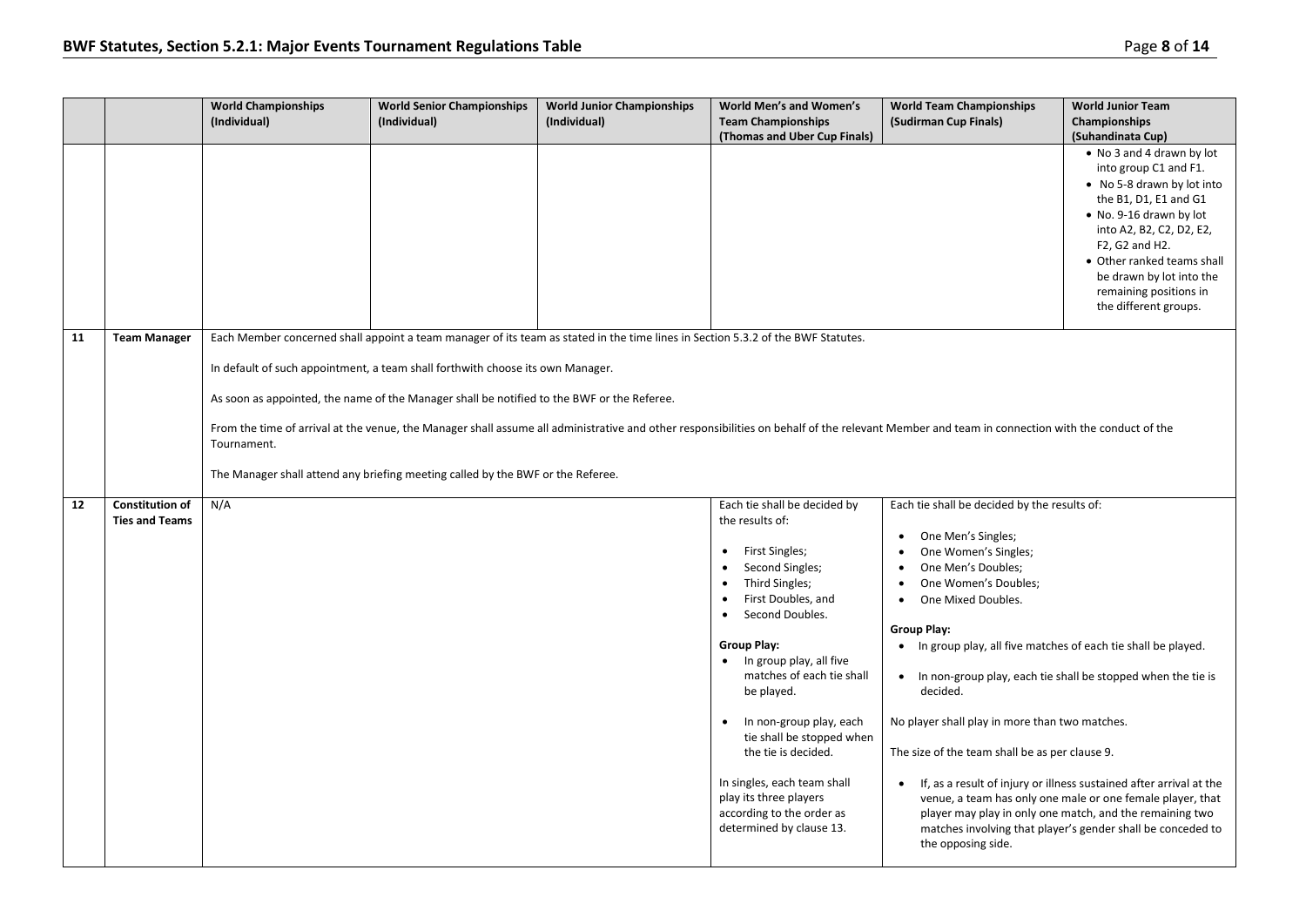|    |                                                 | <b>World Championships</b><br>(Individual) | <b>World Senior Championships</b><br>(Individual)                                                                                                                                                                                                               | <b>World Junior Championships</b><br>(Individual)                                                                                | World Men's and Women's<br><b>Team Championships</b><br>(Thomas and Uber Cup Finals)                                                                                                                                                                                                                                                                                                                                                             | <b>World Team Championships</b><br>(Sudirman Cup Finals)                                                                                                                                                                                                                                                                                                                                                                                                                          | <b>World Junior Team</b><br>Championships<br>(Suhandinata Cup)                                                                                                                                                                                                                                  |
|----|-------------------------------------------------|--------------------------------------------|-----------------------------------------------------------------------------------------------------------------------------------------------------------------------------------------------------------------------------------------------------------------|----------------------------------------------------------------------------------------------------------------------------------|--------------------------------------------------------------------------------------------------------------------------------------------------------------------------------------------------------------------------------------------------------------------------------------------------------------------------------------------------------------------------------------------------------------------------------------------------|-----------------------------------------------------------------------------------------------------------------------------------------------------------------------------------------------------------------------------------------------------------------------------------------------------------------------------------------------------------------------------------------------------------------------------------------------------------------------------------|-------------------------------------------------------------------------------------------------------------------------------------------------------------------------------------------------------------------------------------------------------------------------------------------------|
|    |                                                 |                                            |                                                                                                                                                                                                                                                                 |                                                                                                                                  |                                                                                                                                                                                                                                                                                                                                                                                                                                                  |                                                                                                                                                                                                                                                                                                                                                                                                                                                                                   | • No 3 and 4 drawn by lot<br>into group C1 and F1.<br>• No 5-8 drawn by lot into<br>the B1, D1, E1 and G1<br>• No. 9-16 drawn by lot<br>into A2, B2, C2, D2, E2,<br>F2, G2 and H2.<br>• Other ranked teams shall<br>be drawn by lot into the<br>remaining positions in<br>the different groups. |
| 11 | <b>Team Manager</b>                             | Tournament.                                | In default of such appointment, a team shall forthwith choose its own Manager.<br>As soon as appointed, the name of the Manager shall be notified to the BWF or the Referee.<br>The Manager shall attend any briefing meeting called by the BWF or the Referee. | Each Member concerned shall appoint a team manager of its team as stated in the time lines in Section 5.3.2 of the BWF Statutes. |                                                                                                                                                                                                                                                                                                                                                                                                                                                  | From the time of arrival at the venue, the Manager shall assume all administrative and other responsibilities on behalf of the relevant Member and team in connection with the conduct of the                                                                                                                                                                                                                                                                                     |                                                                                                                                                                                                                                                                                                 |
| 12 | <b>Constitution of</b><br><b>Ties and Teams</b> | N/A                                        |                                                                                                                                                                                                                                                                 |                                                                                                                                  | Each tie shall be decided by<br>the results of:<br>• First Singles;<br>Second Singles;<br>Third Singles;<br>First Doubles, and<br>Second Doubles.<br><b>Group Play:</b><br>• In group play, all five<br>matches of each tie shall<br>be played.<br>In non-group play, each<br>tie shall be stopped when<br>the tie is decided.<br>In singles, each team shall<br>play its three players<br>according to the order as<br>determined by clause 13. | Each tie shall be decided by the results of:<br>One Men's Singles;<br>One Women's Singles;<br>$\bullet$<br>One Men's Doubles;<br>One Women's Doubles;<br>$\bullet$<br>One Mixed Doubles.<br>Group Play:<br>• In group play, all five matches of each tie shall be played.<br>• In non-group play, each tie shall be stopped when the tie is<br>decided.<br>No player shall play in more than two matches.<br>The size of the team shall be as per clause 9.<br>the opposing side. | If, as a result of injury or illness sustained after arrival at the<br>venue, a team has only one male or one female player, that<br>player may play in only one match, and the remaining two<br>matches involving that player's gender shall be conceded to                                    |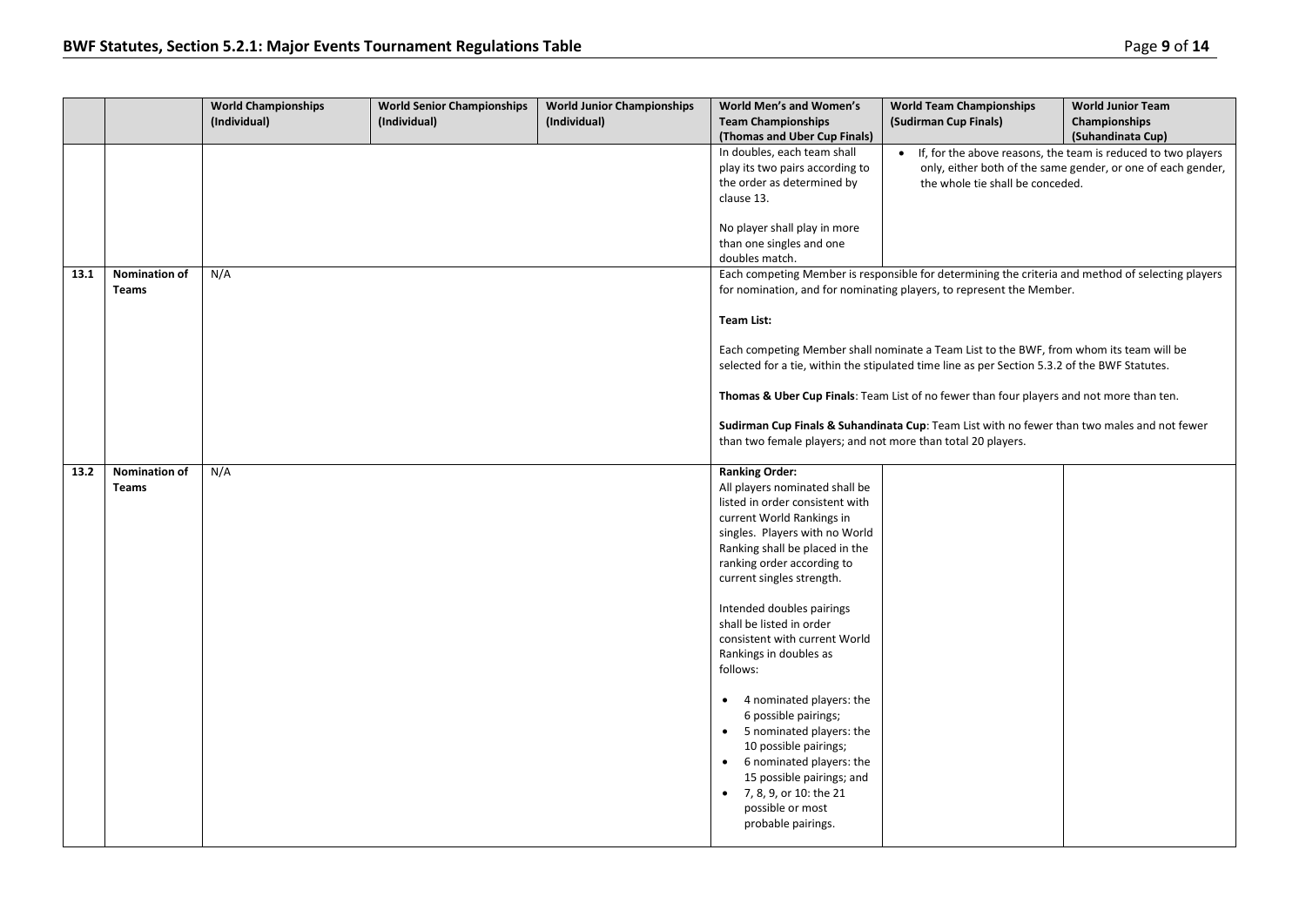|      |                               | <b>World Championships</b><br>(Individual) | <b>World Senior Championships</b><br>(Individual) | <b>World Junior Championships</b><br>(Individual) | World Men's and Women's<br><b>Team Championships</b><br>(Thomas and Uber Cup Finals)                                                                                                                                                                                                                                                                                                                                                                                                                                                                                                                                                 | <b>World Team Championships</b><br>(Sudirman Cup Finals)                                                                                                                                 | <b>World Junior Team</b><br>Championships<br>(Suhandinata Cup) |  |
|------|-------------------------------|--------------------------------------------|---------------------------------------------------|---------------------------------------------------|--------------------------------------------------------------------------------------------------------------------------------------------------------------------------------------------------------------------------------------------------------------------------------------------------------------------------------------------------------------------------------------------------------------------------------------------------------------------------------------------------------------------------------------------------------------------------------------------------------------------------------------|------------------------------------------------------------------------------------------------------------------------------------------------------------------------------------------|----------------------------------------------------------------|--|
|      |                               |                                            |                                                   |                                                   | In doubles, each team shall<br>play its two pairs according to<br>the order as determined by<br>clause 13.                                                                                                                                                                                                                                                                                                                                                                                                                                                                                                                           | • If, for the above reasons, the team is reduced to two players<br>only, either both of the same gender, or one of each gender,<br>the whole tie shall be conceded.                      |                                                                |  |
|      |                               |                                            |                                                   |                                                   | No player shall play in more<br>than one singles and one<br>doubles match.                                                                                                                                                                                                                                                                                                                                                                                                                                                                                                                                                           |                                                                                                                                                                                          |                                                                |  |
| 13.1 | <b>Nomination of</b><br>Teams | N/A                                        |                                                   |                                                   |                                                                                                                                                                                                                                                                                                                                                                                                                                                                                                                                                                                                                                      | Each competing Member is responsible for determining the criteria and method of selecting players<br>for nomination, and for nominating players, to represent the Member.                |                                                                |  |
|      |                               |                                            |                                                   |                                                   | Team List:                                                                                                                                                                                                                                                                                                                                                                                                                                                                                                                                                                                                                           |                                                                                                                                                                                          |                                                                |  |
|      |                               |                                            |                                                   |                                                   |                                                                                                                                                                                                                                                                                                                                                                                                                                                                                                                                                                                                                                      | Each competing Member shall nominate a Team List to the BWF, from whom its team will be<br>selected for a tie, within the stipulated time line as per Section 5.3.2 of the BWF Statutes. |                                                                |  |
|      |                               |                                            |                                                   |                                                   |                                                                                                                                                                                                                                                                                                                                                                                                                                                                                                                                                                                                                                      | Thomas & Uber Cup Finals: Team List of no fewer than four players and not more than ten.                                                                                                 |                                                                |  |
|      |                               |                                            |                                                   |                                                   | than two female players; and not more than total 20 players.                                                                                                                                                                                                                                                                                                                                                                                                                                                                                                                                                                         | Sudirman Cup Finals & Suhandinata Cup: Team List with no fewer than two males and not fewer                                                                                              |                                                                |  |
| 13.2 | Nomination of<br>Teams        | N/A                                        |                                                   |                                                   | <b>Ranking Order:</b><br>All players nominated shall be<br>listed in order consistent with<br>current World Rankings in<br>singles. Players with no World<br>Ranking shall be placed in the<br>ranking order according to<br>current singles strength.<br>Intended doubles pairings<br>shall be listed in order<br>consistent with current World<br>Rankings in doubles as<br>follows:<br>• 4 nominated players: the<br>6 possible pairings;<br>• 5 nominated players: the<br>10 possible pairings;<br>• 6 nominated players: the<br>15 possible pairings; and<br>• 7, 8, 9, or 10: the 21<br>possible or most<br>probable pairings. |                                                                                                                                                                                          |                                                                |  |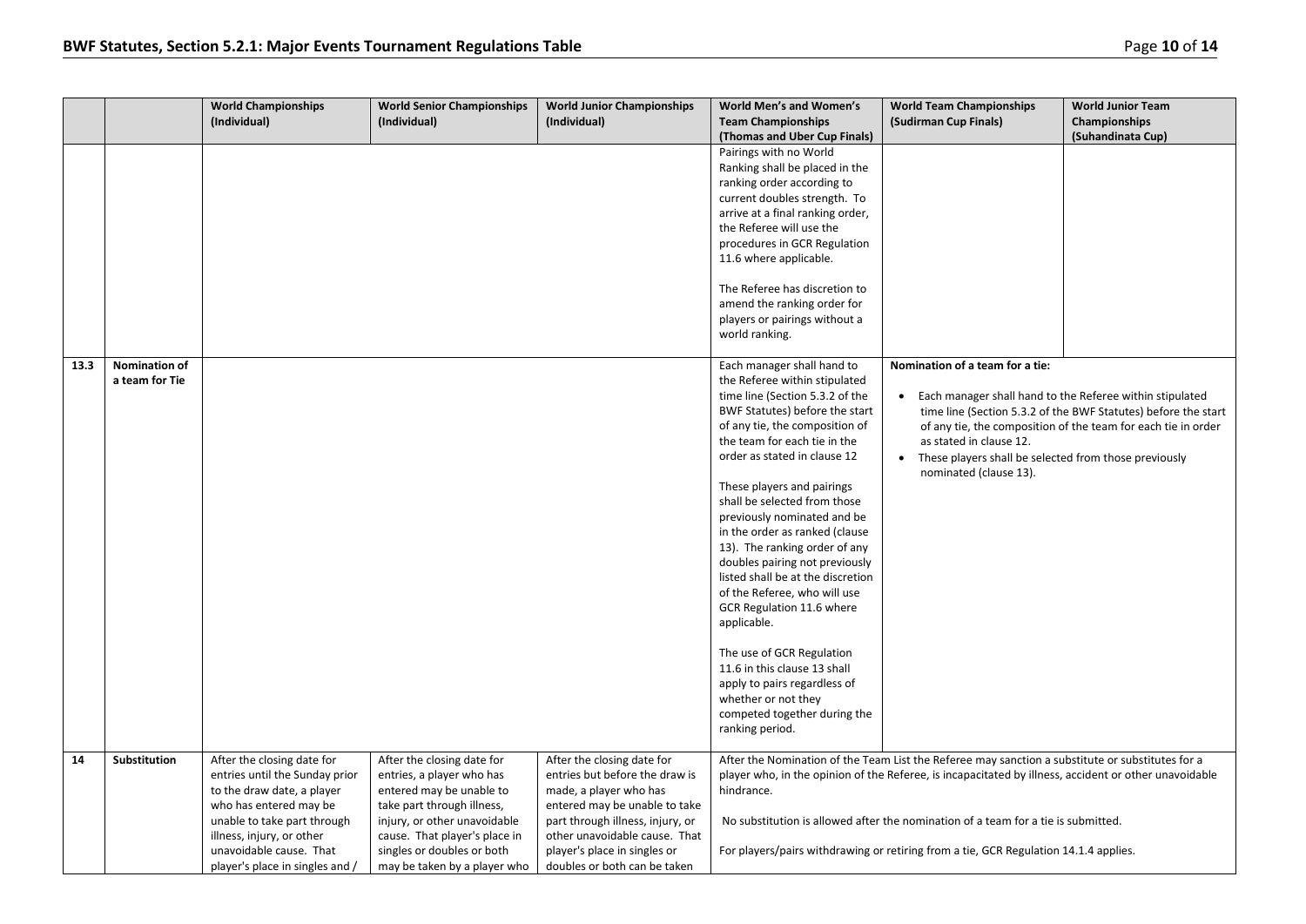|      |                      | <b>World Championships</b>      | <b>World Senior Championships</b> | <b>World Junior Championships</b> | <b>World Men's and Women's</b>                                   | <b>World Team Championships</b>                                                                       | <b>World Junior Team</b>                                       |
|------|----------------------|---------------------------------|-----------------------------------|-----------------------------------|------------------------------------------------------------------|-------------------------------------------------------------------------------------------------------|----------------------------------------------------------------|
|      |                      | (Individual)                    | (Individual)                      | (Individual)                      | <b>Team Championships</b><br>(Thomas and Uber Cup Finals)        | (Sudirman Cup Finals)                                                                                 | Championships<br>(Suhandinata Cup)                             |
|      |                      |                                 |                                   |                                   | Pairings with no World                                           |                                                                                                       |                                                                |
|      |                      |                                 |                                   |                                   | Ranking shall be placed in the                                   |                                                                                                       |                                                                |
|      |                      |                                 |                                   |                                   | ranking order according to                                       |                                                                                                       |                                                                |
|      |                      |                                 |                                   |                                   | current doubles strength. To                                     |                                                                                                       |                                                                |
|      |                      |                                 |                                   |                                   | arrive at a final ranking order,                                 |                                                                                                       |                                                                |
|      |                      |                                 |                                   |                                   | the Referee will use the                                         |                                                                                                       |                                                                |
|      |                      |                                 |                                   |                                   | procedures in GCR Regulation                                     |                                                                                                       |                                                                |
|      |                      |                                 |                                   |                                   | 11.6 where applicable.                                           |                                                                                                       |                                                                |
|      |                      |                                 |                                   |                                   | The Referee has discretion to                                    |                                                                                                       |                                                                |
|      |                      |                                 |                                   |                                   | amend the ranking order for                                      |                                                                                                       |                                                                |
|      |                      |                                 |                                   |                                   | players or pairings without a                                    |                                                                                                       |                                                                |
|      |                      |                                 |                                   |                                   | world ranking.                                                   |                                                                                                       |                                                                |
|      |                      |                                 |                                   |                                   |                                                                  |                                                                                                       |                                                                |
| 13.3 | <b>Nomination of</b> |                                 |                                   |                                   | Each manager shall hand to                                       | Nomination of a team for a tie:                                                                       |                                                                |
|      | a team for Tie       |                                 |                                   |                                   | the Referee within stipulated                                    |                                                                                                       |                                                                |
|      |                      |                                 |                                   |                                   | time line (Section 5.3.2 of the                                  | Each manager shall hand to the Referee within stipulated                                              |                                                                |
|      |                      |                                 |                                   |                                   | BWF Statutes) before the start<br>of any tie, the composition of |                                                                                                       | time line (Section 5.3.2 of the BWF Statutes) before the start |
|      |                      |                                 |                                   |                                   | the team for each tie in the                                     | as stated in clause 12.                                                                               | of any tie, the composition of the team for each tie in order  |
|      |                      |                                 |                                   |                                   | order as stated in clause 12                                     | These players shall be selected from those previously                                                 |                                                                |
|      |                      |                                 |                                   |                                   |                                                                  | nominated (clause 13).                                                                                |                                                                |
|      |                      |                                 |                                   |                                   | These players and pairings                                       |                                                                                                       |                                                                |
|      |                      |                                 |                                   |                                   | shall be selected from those                                     |                                                                                                       |                                                                |
|      |                      |                                 |                                   |                                   | previously nominated and be                                      |                                                                                                       |                                                                |
|      |                      |                                 |                                   |                                   | in the order as ranked (clause                                   |                                                                                                       |                                                                |
|      |                      |                                 |                                   |                                   | 13). The ranking order of any                                    |                                                                                                       |                                                                |
|      |                      |                                 |                                   |                                   | doubles pairing not previously                                   |                                                                                                       |                                                                |
|      |                      |                                 |                                   |                                   | listed shall be at the discretion                                |                                                                                                       |                                                                |
|      |                      |                                 |                                   |                                   | of the Referee, who will use                                     |                                                                                                       |                                                                |
|      |                      |                                 |                                   |                                   | GCR Regulation 11.6 where<br>applicable.                         |                                                                                                       |                                                                |
|      |                      |                                 |                                   |                                   |                                                                  |                                                                                                       |                                                                |
|      |                      |                                 |                                   |                                   | The use of GCR Regulation                                        |                                                                                                       |                                                                |
|      |                      |                                 |                                   |                                   | 11.6 in this clause 13 shall                                     |                                                                                                       |                                                                |
|      |                      |                                 |                                   |                                   | apply to pairs regardless of                                     |                                                                                                       |                                                                |
|      |                      |                                 |                                   |                                   | whether or not they                                              |                                                                                                       |                                                                |
|      |                      |                                 |                                   |                                   | competed together during the                                     |                                                                                                       |                                                                |
|      |                      |                                 |                                   |                                   | ranking period.                                                  |                                                                                                       |                                                                |
| 14   | Substitution         | After the closing date for      | After the closing date for        | After the closing date for        |                                                                  | After the Nomination of the Team List the Referee may sanction a substitute or substitutes for a      |                                                                |
|      |                      | entries until the Sunday prior  | entries, a player who has         | entries but before the draw is    |                                                                  | player who, in the opinion of the Referee, is incapacitated by illness, accident or other unavoidable |                                                                |
|      |                      | to the draw date, a player      | entered may be unable to          | made, a player who has            | hindrance.                                                       |                                                                                                       |                                                                |
|      |                      | who has entered may be          | take part through illness,        | entered may be unable to take     |                                                                  |                                                                                                       |                                                                |
|      |                      | unable to take part through     | injury, or other unavoidable      | part through illness, injury, or  |                                                                  | No substitution is allowed after the nomination of a team for a tie is submitted.                     |                                                                |
|      |                      | illness, injury, or other       | cause. That player's place in     | other unavoidable cause. That     |                                                                  |                                                                                                       |                                                                |
|      |                      | unavoidable cause. That         | singles or doubles or both        | player's place in singles or      |                                                                  | For players/pairs withdrawing or retiring from a tie, GCR Regulation 14.1.4 applies.                  |                                                                |
|      |                      | player's place in singles and / | may be taken by a player who      | doubles or both can be taken      |                                                                  |                                                                                                       |                                                                |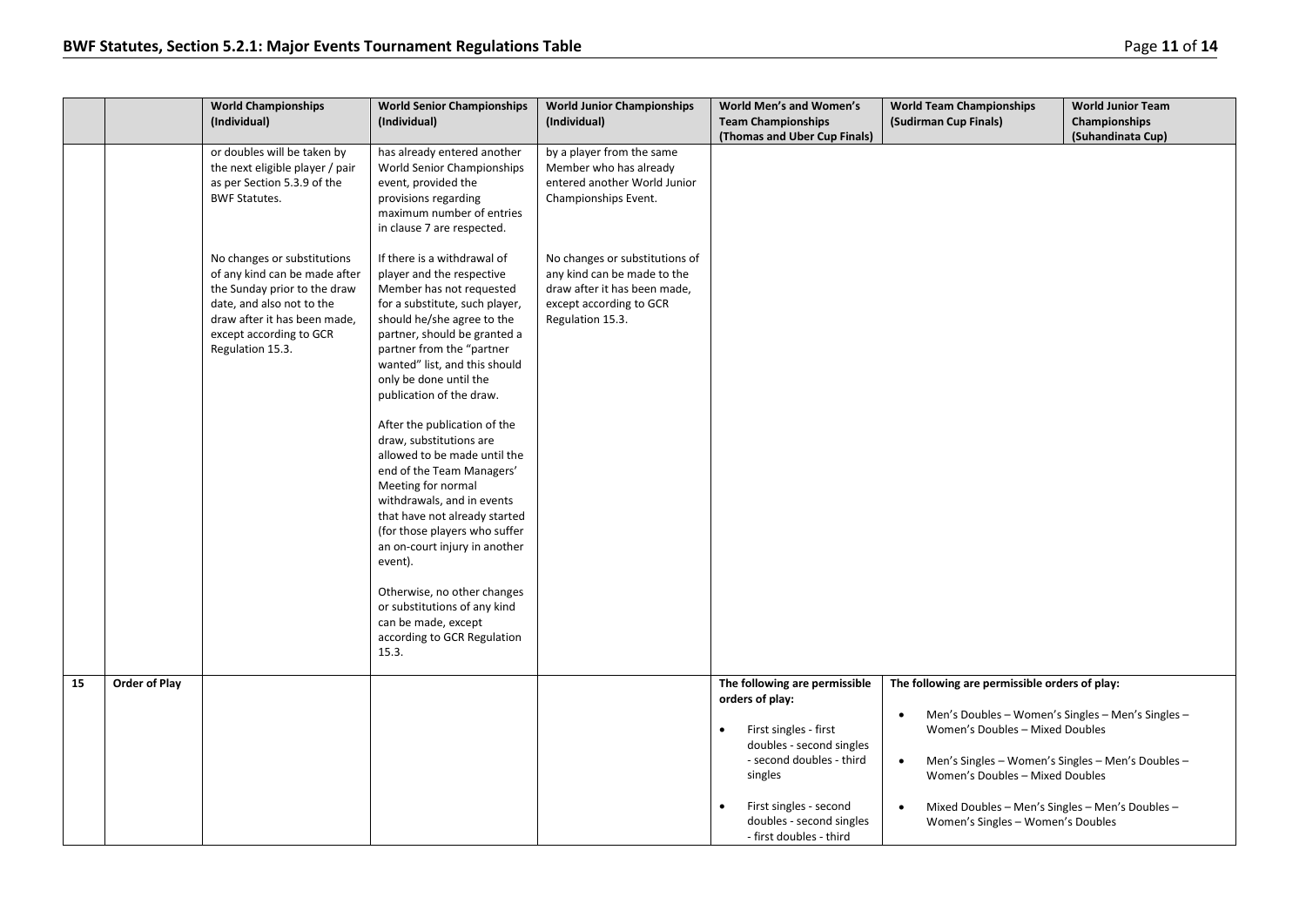|    |               | <b>World Championships</b><br>(Individual)                                                                                                                                                               | <b>World Senior Championships</b><br>(Individual)                                                                                                                                                                                                                                                                                                                                                                                                                                                                                                                                                                                                                                                                                | <b>World Junior Championships</b><br>(Individual)                                                                                            | World Men's and Women's<br><b>Team Championships</b><br>(Thomas and Uber Cup Finals)                                                                                                                                                       | <b>World Team Championships</b><br>(Sudirman Cup Finals)                                                                                                                                                                                                                                                                                                     | <b>World Junior Team</b><br>Championships<br>(Suhandinata Cup) |
|----|---------------|----------------------------------------------------------------------------------------------------------------------------------------------------------------------------------------------------------|----------------------------------------------------------------------------------------------------------------------------------------------------------------------------------------------------------------------------------------------------------------------------------------------------------------------------------------------------------------------------------------------------------------------------------------------------------------------------------------------------------------------------------------------------------------------------------------------------------------------------------------------------------------------------------------------------------------------------------|----------------------------------------------------------------------------------------------------------------------------------------------|--------------------------------------------------------------------------------------------------------------------------------------------------------------------------------------------------------------------------------------------|--------------------------------------------------------------------------------------------------------------------------------------------------------------------------------------------------------------------------------------------------------------------------------------------------------------------------------------------------------------|----------------------------------------------------------------|
|    |               | or doubles will be taken by<br>the next eligible player / pair<br>as per Section 5.3.9 of the<br><b>BWF Statutes.</b>                                                                                    | has already entered another<br>World Senior Championships<br>event, provided the<br>provisions regarding<br>maximum number of entries<br>in clause 7 are respected.                                                                                                                                                                                                                                                                                                                                                                                                                                                                                                                                                              | by a player from the same<br>Member who has already<br>entered another World Junior<br>Championships Event.                                  |                                                                                                                                                                                                                                            |                                                                                                                                                                                                                                                                                                                                                              |                                                                |
|    |               | No changes or substitutions<br>of any kind can be made after<br>the Sunday prior to the draw<br>date, and also not to the<br>draw after it has been made,<br>except according to GCR<br>Regulation 15.3. | If there is a withdrawal of<br>player and the respective<br>Member has not requested<br>for a substitute, such player,<br>should he/she agree to the<br>partner, should be granted a<br>partner from the "partner<br>wanted" list, and this should<br>only be done until the<br>publication of the draw.<br>After the publication of the<br>draw, substitutions are<br>allowed to be made until the<br>end of the Team Managers'<br>Meeting for normal<br>withdrawals, and in events<br>that have not already started<br>(for those players who suffer<br>an on-court injury in another<br>event).<br>Otherwise, no other changes<br>or substitutions of any kind<br>can be made, except<br>according to GCR Regulation<br>15.3. | No changes or substitutions of<br>any kind can be made to the<br>draw after it has been made,<br>except according to GCR<br>Regulation 15.3. |                                                                                                                                                                                                                                            |                                                                                                                                                                                                                                                                                                                                                              |                                                                |
| 15 | Order of Play |                                                                                                                                                                                                          |                                                                                                                                                                                                                                                                                                                                                                                                                                                                                                                                                                                                                                                                                                                                  |                                                                                                                                              | The following are permissible<br>orders of play:<br>First singles - first<br>$\bullet$<br>doubles - second singles<br>- second doubles - third<br>singles<br>First singles - second<br>doubles - second singles<br>- first doubles - third | The following are permissible orders of play:<br>Men's Doubles - Women's Singles - Men's Singles -<br>$\bullet$<br>Women's Doubles - Mixed Doubles<br>Men's Singles - Women's Singles - Men's Doubles -<br>$\bullet$<br>Women's Doubles - Mixed Doubles<br>Mixed Doubles - Men's Singles - Men's Doubles -<br>$\bullet$<br>Women's Singles - Women's Doubles |                                                                |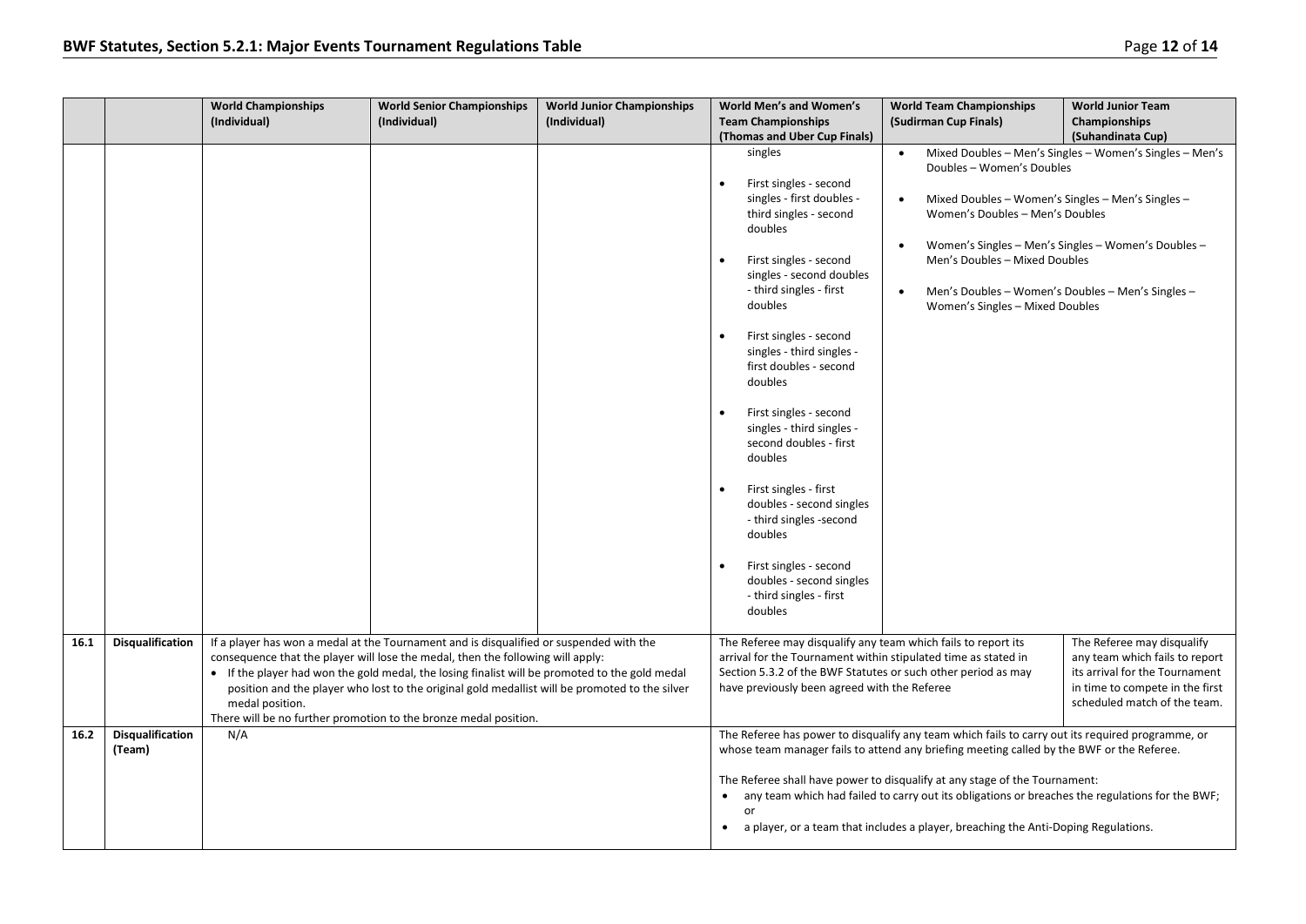|      |                                   | <b>World Championships</b><br>(Individual) | <b>World Senior Championships</b><br>(Individual)                                                                                                                                                                                                                                                                                                                                                                                                  | <b>World Junior Championships</b><br>(Individual) | World Men's and Women's<br><b>Team Championships</b>                                                                                                                                                                                                                                                                                                                                                                                                                                                                                                                                                                                     | <b>World Team Championships</b><br>(Sudirman Cup Finals)                                                                                                                                                                                                                                                                                                                                                                                                             | <b>World Junior Team</b><br><b>Championships</b>                                                                                                                                         |
|------|-----------------------------------|--------------------------------------------|----------------------------------------------------------------------------------------------------------------------------------------------------------------------------------------------------------------------------------------------------------------------------------------------------------------------------------------------------------------------------------------------------------------------------------------------------|---------------------------------------------------|------------------------------------------------------------------------------------------------------------------------------------------------------------------------------------------------------------------------------------------------------------------------------------------------------------------------------------------------------------------------------------------------------------------------------------------------------------------------------------------------------------------------------------------------------------------------------------------------------------------------------------------|----------------------------------------------------------------------------------------------------------------------------------------------------------------------------------------------------------------------------------------------------------------------------------------------------------------------------------------------------------------------------------------------------------------------------------------------------------------------|------------------------------------------------------------------------------------------------------------------------------------------------------------------------------------------|
|      |                                   |                                            |                                                                                                                                                                                                                                                                                                                                                                                                                                                    |                                                   | (Thomas and Uber Cup Finals)<br>singles<br>First singles - second<br>$\bullet$<br>singles - first doubles -<br>third singles - second<br>doubles<br>First singles - second<br>singles - second doubles<br>- third singles - first<br>doubles<br>First singles - second<br>singles - third singles -<br>first doubles - second<br>doubles<br>First singles - second<br>singles - third singles -<br>second doubles - first<br>doubles<br>First singles - first<br>$\bullet$<br>doubles - second singles<br>- third singles -second<br>doubles<br>First singles - second<br>doubles - second singles<br>- third singles - first<br>doubles | $\bullet$<br>Doubles - Women's Doubles<br>Mixed Doubles - Women's Singles - Men's Singles -<br>$\bullet$<br>Women's Doubles - Men's Doubles<br>Men's Doubles - Mixed Doubles<br>Women's Singles - Mixed Doubles                                                                                                                                                                                                                                                      | (Suhandinata Cup)<br>Mixed Doubles - Men's Singles - Women's Singles - Men's<br>Women's Singles - Men's Singles - Women's Doubles -<br>Men's Doubles - Women's Doubles - Men's Singles - |
| 16.1 | <b>Disqualification</b>           | medal position.                            | If a player has won a medal at the Tournament and is disqualified or suspended with the<br>consequence that the player will lose the medal, then the following will apply:<br>• If the player had won the gold medal, the losing finalist will be promoted to the gold medal<br>position and the player who lost to the original gold medallist will be promoted to the silver<br>There will be no further promotion to the bronze medal position. |                                                   | The Referee may disqualify any team which fails to report its<br>have previously been agreed with the Referee                                                                                                                                                                                                                                                                                                                                                                                                                                                                                                                            | arrival for the Tournament within stipulated time as stated in<br>Section 5.3.2 of the BWF Statutes or such other period as may                                                                                                                                                                                                                                                                                                                                      | The Referee may disqualify<br>any team which fails to report<br>its arrival for the Tournament<br>in time to compete in the first<br>scheduled match of the team.                        |
| 16.2 | <b>Disqualification</b><br>(Team) | N/A                                        |                                                                                                                                                                                                                                                                                                                                                                                                                                                    |                                                   | $\bullet$<br>or<br>$\bullet$                                                                                                                                                                                                                                                                                                                                                                                                                                                                                                                                                                                                             | The Referee has power to disqualify any team which fails to carry out its required programme, or<br>whose team manager fails to attend any briefing meeting called by the BWF or the Referee.<br>The Referee shall have power to disqualify at any stage of the Tournament:<br>any team which had failed to carry out its obligations or breaches the regulations for the BWF;<br>a player, or a team that includes a player, breaching the Anti-Doping Regulations. |                                                                                                                                                                                          |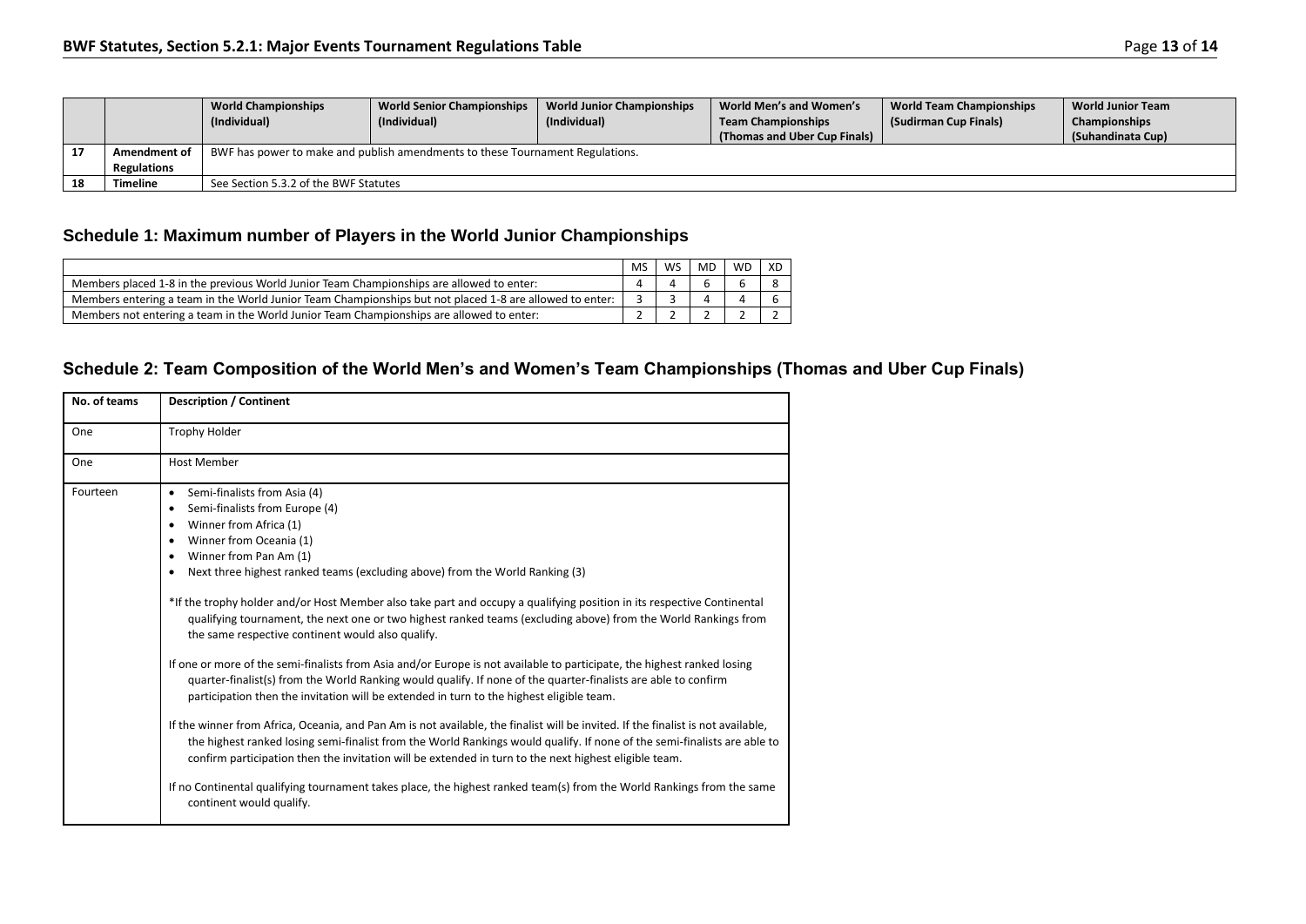|    |                    | <b>World Championships</b><br>(Individual) | <b>World Senior Championships</b><br>(Individual)                             | <b>World Junior Championships</b><br>(Individual) | World Men's and Women's<br><b>Team Championships</b><br>(Thomas and Uber Cup Finals) | <b>World Team Championships</b><br>(Sudirman Cup Finals) | <b>World Junior Team</b><br>Championships<br>(Suhandinata Cup) |  |
|----|--------------------|--------------------------------------------|-------------------------------------------------------------------------------|---------------------------------------------------|--------------------------------------------------------------------------------------|----------------------------------------------------------|----------------------------------------------------------------|--|
|    | Amendment of       |                                            | BWF has power to make and publish amendments to these Tournament Regulations. |                                                   |                                                                                      |                                                          |                                                                |  |
|    | <b>Regulations</b> |                                            |                                                                               |                                                   |                                                                                      |                                                          |                                                                |  |
| 18 | <b>Timeline</b>    | See Section 5.3.2 of the BWF Statutes      |                                                                               |                                                   |                                                                                      |                                                          |                                                                |  |

# **Schedule 1: Maximum number of Players in the World Junior Championships**

|                                                                                                         | <b>MS</b> | WS | <b>MD</b> | <b>WD</b> | XD |
|---------------------------------------------------------------------------------------------------------|-----------|----|-----------|-----------|----|
| Members placed 1-8 in the previous World Junior Team Championships are allowed to enter:                |           |    |           |           |    |
| Members entering a team in the World Junior Team Championships but not placed 1-8 are allowed to enter: |           |    |           |           |    |
| Members not entering a team in the World Junior Team Championships are allowed to enter:                |           |    |           |           |    |

## **Schedule 2: Team Composition of the World Men's and Women's Team Championships (Thomas and Uber Cup Finals)**

| No. of teams | <b>Description / Continent</b>                                                                                                                                                                                                                                                                                                                                                                                                                                                                                                                                                                                                                                                                                                                                                                                                                                                                                                                                                                                                                                                                                                                                                                                                                                                                                                                                                                                                         |  |  |  |
|--------------|----------------------------------------------------------------------------------------------------------------------------------------------------------------------------------------------------------------------------------------------------------------------------------------------------------------------------------------------------------------------------------------------------------------------------------------------------------------------------------------------------------------------------------------------------------------------------------------------------------------------------------------------------------------------------------------------------------------------------------------------------------------------------------------------------------------------------------------------------------------------------------------------------------------------------------------------------------------------------------------------------------------------------------------------------------------------------------------------------------------------------------------------------------------------------------------------------------------------------------------------------------------------------------------------------------------------------------------------------------------------------------------------------------------------------------------|--|--|--|
| One          | <b>Trophy Holder</b>                                                                                                                                                                                                                                                                                                                                                                                                                                                                                                                                                                                                                                                                                                                                                                                                                                                                                                                                                                                                                                                                                                                                                                                                                                                                                                                                                                                                                   |  |  |  |
| One          | <b>Host Member</b>                                                                                                                                                                                                                                                                                                                                                                                                                                                                                                                                                                                                                                                                                                                                                                                                                                                                                                                                                                                                                                                                                                                                                                                                                                                                                                                                                                                                                     |  |  |  |
| Fourteen     | Semi-finalists from Asia (4)<br>$\bullet$<br>Semi-finalists from Europe (4)<br>٠<br>Winner from Africa (1)<br>Winner from Oceania (1)<br>٠<br>Winner from Pan Am (1)<br>٠<br>Next three highest ranked teams (excluding above) from the World Ranking (3)<br>٠<br>*If the trophy holder and/or Host Member also take part and occupy a qualifying position in its respective Continental<br>qualifying tournament, the next one or two highest ranked teams (excluding above) from the World Rankings from<br>the same respective continent would also qualify.<br>If one or more of the semi-finalists from Asia and/or Europe is not available to participate, the highest ranked losing<br>quarter-finalist(s) from the World Ranking would qualify. If none of the quarter-finalists are able to confirm<br>participation then the invitation will be extended in turn to the highest eligible team.<br>If the winner from Africa, Oceania, and Pan Am is not available, the finalist will be invited. If the finalist is not available,<br>the highest ranked losing semi-finalist from the World Rankings would qualify. If none of the semi-finalists are able to<br>confirm participation then the invitation will be extended in turn to the next highest eligible team.<br>If no Continental qualifying tournament takes place, the highest ranked team(s) from the World Rankings from the same<br>continent would qualify. |  |  |  |